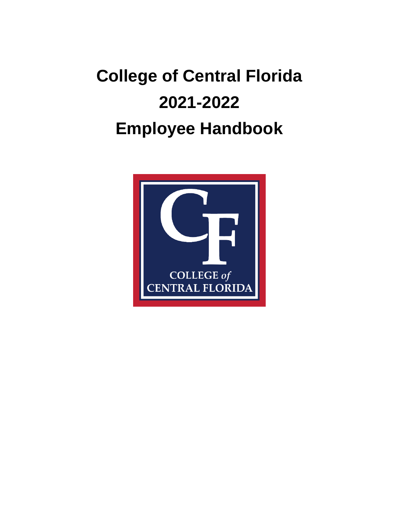# **College of Central Florida 2021-2022 Employee Handbook**

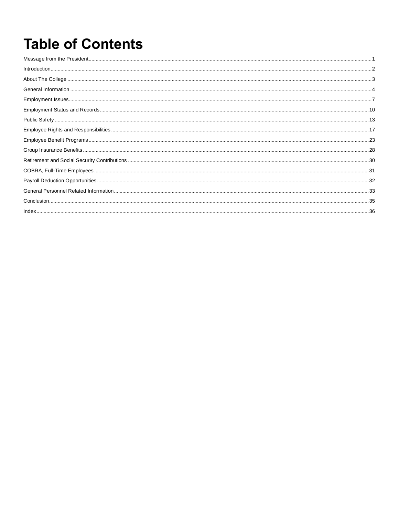## **Table of Contents**

| $\small \textbf{Introduction} \textbf{.} \textbf{.} \textbf{.} \textbf{.} \textbf{.} \textbf{.} \textbf{.} \textbf{.} \textbf{.} \textbf{.} \textbf{.} \textbf{.} \textbf{.} \textbf{.} \textbf{.} \textbf{.} \textbf{.} \textbf{.} \textbf{.} \textbf{.} \textbf{.} \textbf{.} \textbf{.} \textbf{.} \textbf{.} \textbf{.} \textbf{.} \textbf{.} \textbf{.} \textbf{.} \textbf{.} \textbf{.} \textbf{.} \textbf{.} \textbf{.} \text$ |  |
|---------------------------------------------------------------------------------------------------------------------------------------------------------------------------------------------------------------------------------------------------------------------------------------------------------------------------------------------------------------------------------------------------------------------------------------|--|
|                                                                                                                                                                                                                                                                                                                                                                                                                                       |  |
|                                                                                                                                                                                                                                                                                                                                                                                                                                       |  |
|                                                                                                                                                                                                                                                                                                                                                                                                                                       |  |
|                                                                                                                                                                                                                                                                                                                                                                                                                                       |  |
|                                                                                                                                                                                                                                                                                                                                                                                                                                       |  |
|                                                                                                                                                                                                                                                                                                                                                                                                                                       |  |
|                                                                                                                                                                                                                                                                                                                                                                                                                                       |  |
|                                                                                                                                                                                                                                                                                                                                                                                                                                       |  |
|                                                                                                                                                                                                                                                                                                                                                                                                                                       |  |
|                                                                                                                                                                                                                                                                                                                                                                                                                                       |  |
|                                                                                                                                                                                                                                                                                                                                                                                                                                       |  |
|                                                                                                                                                                                                                                                                                                                                                                                                                                       |  |
|                                                                                                                                                                                                                                                                                                                                                                                                                                       |  |
|                                                                                                                                                                                                                                                                                                                                                                                                                                       |  |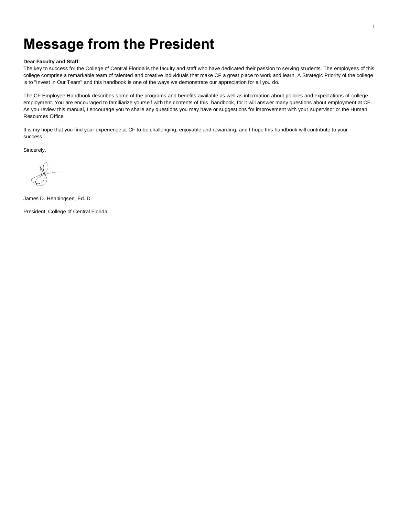### **Message from the President**

#### **Dear Faculty and Staff:**

The key to success for the College of Central Florida is the faculty and staff who have dedicated their passion to serving students. The employees of this college comprise a remarkable team of talented and creative individuals that make CF a great place to work and learn. A Strategic Priority of the college is to "Invest in Our Team" and this handbook is one of the ways we demonstrate our appreciation for all you do.

The CF Employee Handbook describes some of the programs and benefits available as well as information about policies and expectations of college employment. You are encouraged to familiarize yourself with the contents of this handbook, for it will answer many questions about employment at CF. As you review this manual, I encourage you to share any questions you may have or suggestions for improvement with your supervisor or the Human Resources Office.

It is my hope that you find your experience at CF to be challenging, enjoyable and rewarding, and I hope this handbook will contribute to your success.

Sincerely,

James D. Henningsen, Ed. D.

President, College of Central Florida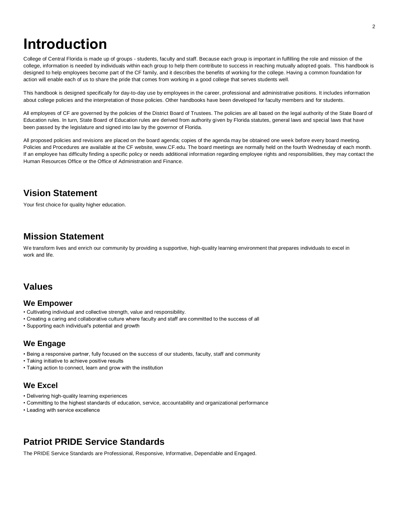### **Introduction**

College of Central Florida is made up of groups - students, faculty and staff. Because each group is important in fulfilling the role and mission of the college, information is needed by individuals within each group to help them contribute to success in reaching mutually adopted goals. This handbook is designed to help employees become part of the CF family, and it describes the benefits of working for the college. Having a common foundation for action will enable each of us to share the pride that comes from working in a good college that serves students well.

This handbook is designed specifically for day-to-day use by employees in the career, professional and administrative positions. It includes information about college policies and the interpretation of those policies. Other handbooks have been developed for faculty members and for students.

All employees of CF are governed by the policies of the District Board of Trustees. The policies are all based on the legal authority of the State Board of Education rules. In turn, State Board of Education rules are derived from authority given by Florida statutes, general laws and special laws that have been passed by the legislature and signed into law by the governor of Florida.

All proposed policies and revisions are placed on the board agenda; copies of the agenda may be obtained one week before every board meeting. Policies and Procedures are available at the CF website, www.CF.edu. The board meetings are normally held on the fourth Wednesday of each month. If an employee has difficulty finding a specific policy or needs additional information regarding employee rights and responsibilities, they may contact the Human Resources Office or the Office of Administration and Finance.

#### **Vision Statement**

Your first choice for quality higher education.

#### **Mission Statement**

We transform lives and enrich our community by providing a supportive, high-quality learning environment that prepares individuals to excel in work and life.

#### **Values**

#### **We Empower**

- Cultivating individual and collective strength, value and responsibility.
- Creating a caring and collaborative culture where faculty and staff are committed to the success of all
- Supporting each individual's potential and growth

#### **We Engage**

- Being a responsive partner, fully focused on the success of our students, faculty, staff and community
- Taking initiative to achieve positive results
- Taking action to connect, learn and grow with the institution

#### **We Excel**

- Delivering high-quality learning experiences
- Committing to the highest standards of education, service, accountability and organizational performance
- Leading with service excellence

#### **Patriot PRIDE Service Standards**

The PRIDE Service Standards are Professional, Responsive, Informative, Dependable and Engaged.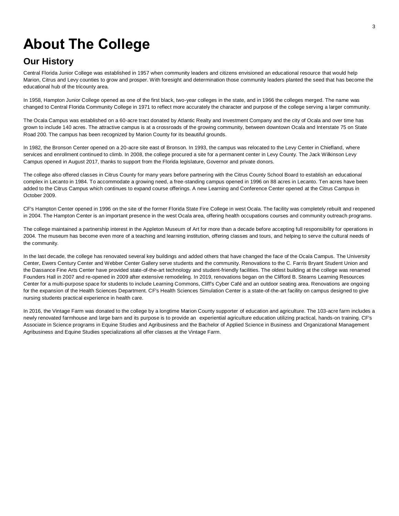## **About The College**

#### **Our History**

Central Florida Junior College was established in 1957 when community leaders and citizens envisioned an educational resource that would help Marion, Citrus and Levy counties to grow and prosper. With foresight and determination those community leaders planted the seed that has become the educational hub of the tricounty area.

In 1958, Hampton Junior College opened as one of the first black, two-year colleges in the state, and in 1966 the colleges merged. The name was changed to Central Florida Community College in 1971 to reflect more accurately the character and purpose of the college serving a larger community.

The Ocala Campus was established on a 60-acre tract donated by Atlantic Realty and Investment Company and the city of Ocala and over time has grown to include 140 acres. The attractive campus is at a crossroads of the growing community, between downtown Ocala and Interstate 75 on State Road 200. The campus has been recognized by Marion County for its beautiful grounds.

In 1982, the Bronson Center opened on a 20-acre site east of Bronson. In 1993, the campus was relocated to the Levy Center in Chiefland, where services and enrollment continued to climb. In 2008, the college procured a site for a permanent center in Levy County. The Jack Wilkinson Levy Campus opened in August 2017, thanks to support from the Florida legislature, Governor and private donors.

The college also offered classes in Citrus County for many years before partnering with the Citrus County School Board to establish an educational complex in Lecanto in 1984. To accommodate a growing need, a free-standing campus opened in 1996 on 88 acres in Lecanto. Ten acres have been added to the Citrus Campus which continues to expand course offerings. A new Learning and Conference Center opened at the Citrus Campus in October 2009.

CF's Hampton Center opened in 1996 on the site of the former Florida State Fire College in west Ocala. The facility was completely rebuilt and reopened in 2004. The Hampton Center is an important presence in the west Ocala area, offering health occupations courses and community outreach programs.

The college maintained a partnership interest in the Appleton Museum of Art for more than a decade before accepting full responsibility for operations in 2004. The museum has become even more of a teaching and learning institution, offering classes and tours, and helping to serve the cultural needs of the community.

In the last decade, the college has renovated several key buildings and added others that have changed the face of the Ocala Campus. The University Center, Ewers Century Center and Webber Center Gallery serve students and the community. Renovations to the C. Farris Bryant Student Union and the Dassance Fine Arts Center have provided state-of-the-art technology and student-friendly facilities. The oldest building at the college was renamed Founders Hall in 2007 and re-opened in 2009 after extensive remodeling. In 2019, renovations began on the Clifford B. Stearns Learning Resources Center for a multi-purpose space for students to include Learning Commons, Cliff's Cyber Café and an outdoor seating area. Renovations are ongoing for the expansion of the Health Sciences Department. CF's Health Sciences Simulation Center is a state-of-the-art facility on campus designed to give nursing students practical experience in health care.

In 2016, the Vintage Farm was donated to the college by a longtime Marion County supporter of education and agriculture. The 103-acre farm includes a newly renovated farmhouse and large barn and its purpose is to provide an experiential agriculture education utilizing practical, hands-on training. CF's Associate in Science programs in Equine Studies and Agribusiness and the Bachelor of Applied Science in Business and Organizational Management Agribusiness and Equine Studies specializations all offer classes at the Vintage Farm.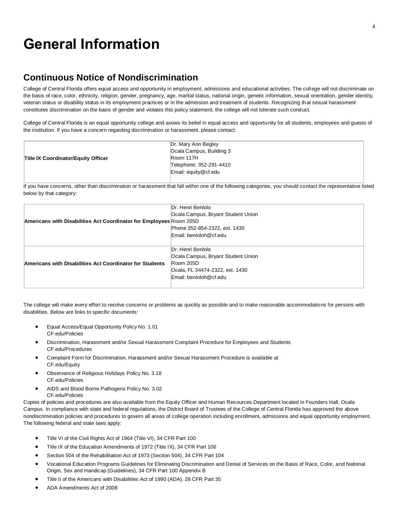### **General Information**

#### **Continuous Notice of Nondiscrimination**

College of Central Florida offers equal access and opportunity in employment, admissions and educational activities. The college will not discriminate on the basis of race, color, ethnicity, religion, gender, pregnancy, age, marital status, national origin, genetic information, sexual orientation, gender identity, veteran status or disability status in its employment practices or in the admission and treatment of students. Recognizing that sexual harassment constitutes discrimination on the basis of gender and violates this policy statement, the college will not tolerate such conduct.

College of Central Florida is an equal opportunity college and avows its belief in equal access and opportunity for all students, employees and guests of the institution. If you have a concern regarding discrimination or harassment, please contact:

|                                            | Dr. Mary Ann Begley<br>Ocala Campus, Building 3 |
|--------------------------------------------|-------------------------------------------------|
| <b>Title IX Coordinator/Equity Officer</b> | Room 117H                                       |
|                                            | Telephone: 352-291-4410                         |
|                                            | Email: equity@cf.edu                            |
|                                            |                                                 |

If you have concerns, other than discrimination or harassment that fall within one of the following categories, you should contact the representative listed below by that category:

|                                                                     | Dr. Henri Benlolo                  |
|---------------------------------------------------------------------|------------------------------------|
|                                                                     | Ocala Campus, Bryant Student Union |
| Americans with Disabilities Act Coordinator for Employees Room 205D |                                    |
|                                                                     | Phone 352-854-2322, ext. 1430      |
|                                                                     | Email: benloloh@cf.edu             |
|                                                                     |                                    |
| Americans with Disabilities Act Coordinator for Students            | Dr. Henri Benlolo                  |
|                                                                     | Ocala Campus, Bryant Student Union |
|                                                                     | Room 205D                          |
|                                                                     | Ocala, FL 34474-2322, ext. 1430    |
|                                                                     | Email: benloloh@cf.edu             |
|                                                                     |                                    |

The college will make every effort to resolve concerns or problems as quickly as possible and to make reasonable accommodations for persons with disabilities. Below are links to specific documents:

- Equal Access/Equal Opportunity Policy No. 1.01 CF.edu/Policies
- Discrimination, Harassment and/or Sexual Harassment Complaint Procedure for Employees and Students CF.edu/Procedures
- Complaint Form for Discrimination, Harassment and/or Sexual Harassment Procedure is available at CF.edu/Equity
- Observance of Religious Holidays Policy No. 3.18 CF.edu/Policies
- AIDS and Blood Borne Pathogens Policy No. 3.02 CF.edu/Policies

Copies of policies and procedures are also available from the Equity Officer and Human Resources Department located in Founders Hall, Ocala Campus. In compliance with state and federal regulations, the District Board of Trustees of the College of Central Florida has approved the above nondiscrimination policies and procedures to govern all areas of college operation including enrollment, admissions and equal opportunity employment. The following federal and state laws apply:

- Title VI of the Civil Rights Act of 1964 (Title VI), 34 CFR Part 100
- Title IX of the Education Amendments of 1972 (Title IX), 34 CFR Part 106
- Section 504 of the Rehabilitation Act of 1973 (Section 504), 34 CFR Part 104
- Vocational Education Programs Guidelines for Eliminating Discrimination and Denial of Services on the Basis of Race, Color, and National Origin, Sex and Handicap (Guidelines), 34 CFR Part 100 Appendix B
- Title II of the Americans with Disabilities Act of 1990 (ADA), 28 CFR Part 35
- ADA Amendments Act of 2008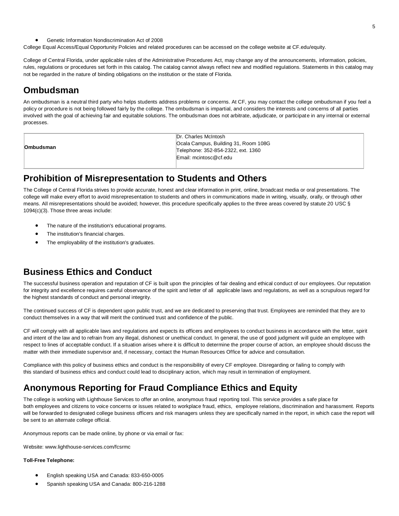• Genetic Information Nondiscrimination Act of 2008

College Equal Access/Equal Opportunity Policies and related procedures can be accessed on the college website at CF.edu/equity.

College of Central Florida, under applicable rules of the Administrative Procedures Act, may change any of the announcements, information, policies, rules, regulations or procedures set forth in this catalog. The catalog cannot always reflect new and modified regulations. Statements in this catalog may not be regarded in the nature of binding obligations on the institution or the state of Florida.

#### **Ombudsman**

An ombudsman is a neutral third party who helps students address problems or concerns. At CF, you may contact the college ombudsman if you feel a policy or procedure is not being followed fairly by the college. The ombudsman is impartial, and considers the interests and concerns of all parties involved with the goal of achieving fair and equitable solutions. The ombudsman does not arbitrate, adjudicate, or participate in any internal or external processes.

|                  | Dr. Charles McIntosh                 |
|------------------|--------------------------------------|
|                  | Ocala Campus, Building 31, Room 108G |
| <b>Ombudsman</b> | Telephone: 352-854-2322, ext. 1360   |
|                  | Email: mcintosc@cf.edu               |
|                  |                                      |

#### **Prohibition of Misrepresentation to Students and Others**

The College of Central Florida strives to provide accurate, honest and clear information in print, online, broadcast media or oral presentations. The college will make every effort to avoid misrepresentation to students and others in communications made in writing, visually, orally, or through other means. All misrepresentations should be avoided; however, this procedure specifically applies to the three areas covered by statute 20 USC § 1094(c)(3). Those three areas include:

- The nature of the institution's educational programs.
- The institution's financial charges.
- The employability of the institution's graduates.

#### **Business Ethics and Conduct**

The successful business operation and reputation of CF is built upon the principles of fair dealing and ethical conduct of our employees. Our reputation for integrity and excellence requires careful observance of the spirit and letter of all applicable laws and regulations, as well as a scrupulous regard for the highest standards of conduct and personal integrity.

The continued success of CF is dependent upon public trust, and we are dedicated to preserving that trust. Employees are reminded that they are to conduct themselves in a way that will merit the continued trust and confidence of the public.

CF will comply with all applicable laws and regulations and expects its officers and employees to conduct business in accordance with the letter, spirit and intent of the law and to refrain from any illegal, dishonest or unethical conduct. In general, the use of good judgment will guide an employee with respect to lines of acceptable conduct. If a situation arises where it is difficult to determine the proper course of action, an employee should discuss the matter with their immediate supervisor and, if necessary, contact the Human Resources Office for advice and consultation.

Compliance with this policy of business ethics and conduct is the responsibility of every CF employee. Disregarding or failing to comply with this standard of business ethics and conduct could lead to disciplinary action, which may result in termination of employment.

#### **Anonymous Reporting for Fraud Compliance Ethics and Equity**

The college is working with Lighthouse Services to offer an online, anonymous fraud reporting tool. This service provides a safe place for both employees and citizens to voice concerns or issues related to workplace fraud, ethics, employee relations, discrimination and harassment. Reports will be forwarded to designated college business officers and risk managers unless they are specifically named in the report, in which case the report will be sent to an alternate college official.

Anonymous reports can be made online, by phone or via email or fax:

Website: www.lighthouse-services.com/fcsrmc

#### **Toll-Free Telephone:**

- English speaking USA and Canada: 833-650-0005
- Spanish speaking USA and Canada: 800-216-1288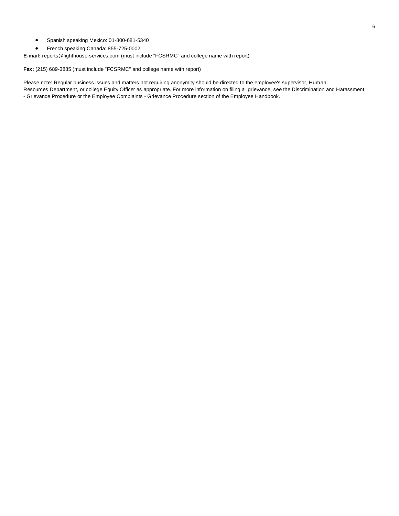- Spanish speaking Mexico: 01-800-681-5340
- French speaking Canada: 855-725-0002

**E-mail:** reports@lighthouse-services.com (must include "FCSRMC" and college name with report)

**Fax:** (215) 689-3885 (must include "FCSRMC" and college name with report)

Please note: Regular business issues and matters not requiring anonymity should be directed to the employee's supervisor, Human Resources Department, or college Equity Officer as appropriate. For more information on filing a grievance, see the Discrimination and Harassment - Grievance Procedure or the Employee Complaints - Grievance Procedure section of the Employee Handbook.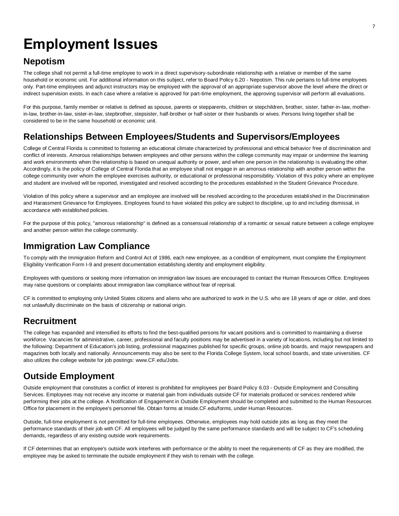## **Employment Issues**

#### **Nepotism**

The college shall not permit a full-time employee to work in a direct supervisory-subordinate relationship with a relative or member of the same household or economic unit. For additional information on this subject, refer to Board Policy 6.20 - Nepotism. This rule pertains to full-time employees only. Part-time employees and adjunct instructors may be employed with the approval of an appropriate supervisor above the level where the direct or indirect supervision exists. In each case where a relative is approved for part-time employment, the approving supervisor will perform all evaluations.

For this purpose, family member or relative is defined as spouse, parents or stepparents, children or stepchildren, brother, sister, father-in-law, motherin-law, brother-in-law, sister-in-law, stepbrother, stepsister, half-brother or half-sister or their husbands or wives. Persons living together shall be considered to be in the same household or economic unit.

#### **Relationships Between Employees/Students and Supervisors/Employees**

College of Central Florida is committed to fostering an educational climate characterized by professional and ethical behavior free of discrimination and conflict of interests. Amorous relationships between employees and other persons within the college community may impair or undermine the learning and work environments when the relationship is based on unequal authority or power, and when one person in the relationship is evaluating the other. Accordingly, it is the policy of College of Central Florida that an employee shall not engage in an amorous relationship with another person within the college community over whom the employee exercises authority, or educational or professional responsibility. Violation of this policy where an employee and student are involved will be reported, investigated and resolved according to the procedures established in the Student Grievance Procedure.

Violation of this policy where a supervisor and an employee are involved will be resolved according to the procedures established in the Discrimination and Harassment Grievance for Employees. Employees found to have violated this policy are subject to discipline, up to and including dismissal, in accordance with established policies.

For the purpose of this policy, "amorous relationship" is defined as a consensual relationship of a romantic or sexual nature between a college employee and another person within the college community.

#### **Immigration Law Compliance**

To comply with the Immigration Reform and Control Act of 1986, each new employee, as a condition of employment, must complete the Employment Eligibility Verification Form I-9 and present documentation establishing identity and employment eligibility.

Employees with questions or seeking more information on immigration law issues are encouraged to contact the Human Resources Office. Employees may raise questions or complaints about immigration law compliance without fear of reprisal.

CF is committed to employing only United States citizens and aliens who are authorized to work in the U.S. who are 18 years of age or older, and does not unlawfully discriminate on the basis of citizenship or national origin.

#### **Recruitment**

The college has expanded and intensified its efforts to find the best-qualified persons for vacant positions and is committed to maintaining a diverse workforce. Vacancies for administrative, career, professional and faculty positions may be advertised in a variety of locations, including but not limited to the following: Department of Education's job listing, professional magazines published for specific groups, online job boards, and major newspapers and magazines both locally and nationally. Announcements may also be sent to the Florida College System, local school boards, and state universities. CF also utilizes the college website for job postings: www.CF.edu/Jobs.

#### **Outside Employment**

Outside employment that constitutes a conflict of interest is prohibited for employees per Board Policy 6.03 - Outside Employment and Consulting Services. Employees may not receive any income or material gain from individuals outside CF for materials produced or services rendered while performing their jobs at the college. A Notification of Engagement in Outside Employment should be completed and submitted to the Human Resources Office for placement in the employee's personnel file. Obtain forms at Inside.CF.edu/forms, under Human Resources.

Outside, full-time employment is not permitted for full-time employees. Otherwise, employees may hold outside jobs as long as they meet the performance standards of their job with CF. All employees will be judged by the same performance standards and will be subject to CF's scheduling demands, regardless of any existing outside work requirements.

If CF determines that an employee's outside work interferes with performance or the ability to meet the requirements of CF as they are modified, the employee may be asked to terminate the outside employment if they wish to remain with the college.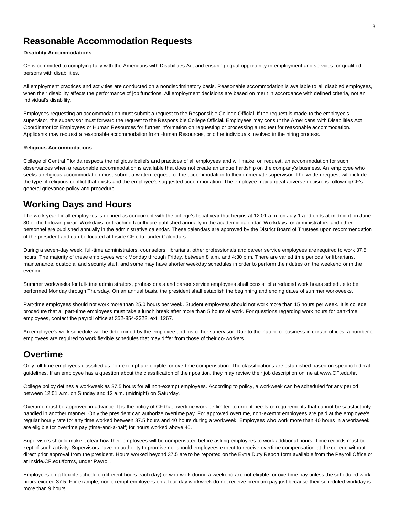#### **Reasonable Accommodation Requests**

#### **Disability Accommodations**

CF is committed to complying fully with the Americans with Disabilities Act and ensuring equal opportunity in employment and services for qualified persons with disabilities.

All employment practices and activities are conducted on a nondiscriminatory basis. Reasonable accommodation is available to all disabled employees, when their disability affects the performance of job functions. All employment decisions are based on merit in accordance with defined criteria, not an individual's disability.

Employees requesting an accommodation must submit a request to the Responsible College Official. If the request is made to the employee's supervisor, the supervisor must forward the request to the Responsible College Official. Employees may consult the Americans with Disabilities Act Coordinator for Employees or Human Resources for further information on requesting or processing a request for reasonable accommodation. Applicants may request a reasonable accommodation from Human Resources, or other individuals involved in the hiring process.

#### **Religious Accommodations**

College of Central Florida respects the religious beliefs and practices of all employees and will make, on request, an accommodation for such observances when a reasonable accommodation is available that does not create an undue hardship on the company's business. An employee who seeks a religious accommodation must submit a written request for the accommodation to their immediate supervisor. The written request will include the type of religious conflict that exists and the employee's suggested accommodation. The employee may appeal adverse decisions following CF's general grievance policy and procedure.

#### **Working Days and Hours**

The work year for all employees is defined as concurrent with the college's fiscal year that begins at 12:01 a.m. on July 1 and ends at midnight on June 30 of the following year. Workdays for teaching faculty are published annually in the academic calendar. Workdays for administrators and other personnel are published annually in the administrative calendar. These calendars are approved by the District Board of Trustees upon recommendation of the president and can be located at Inside.CF.edu, under Calendars.

During a seven-day week, full-time administrators, counselors, librarians, other professionals and career service employees are required to work 37.5 hours. The majority of these employees work Monday through Friday, between 8 a.m. and 4:30 p.m. There are varied time periods for librarians, maintenance, custodial and security staff, and some may have shorter weekday schedules in order to perform their duties on the weekend or in the evening.

Summer workweeks for full-time administrators, professionals and career service employees shall consist of a reduced work hours schedule to be performed Monday through Thursday. On an annual basis, the president shall establish the beginning and ending dates of summer workweeks.

Part-time employees should not work more than 25.0 hours per week. Student employees should not work more than 15 hours per week. It is college procedure that all part-time employees must take a lunch break after more than 5 hours of work. For questions regarding work hours for part-time employees, contact the payroll office at 352-854-2322, ext. 1267.

An employee's work schedule will be determined by the employee and his or her supervisor. Due to the nature of business in certain offices, a number of employees are required to work flexible schedules that may differ from those of their co-workers.

#### **Overtime**

Only full-time employees classified as non-exempt are eligible for overtime compensation. The classifications are established based on specific federal guidelines. If an employee has a question about the classification of their position, they may review their job description online at www.CF.edu/hr.

College policy defines a workweek as 37.5 hours for all non-exempt employees. According to policy, a workweek can be scheduled for any period between 12:01 a.m. on Sunday and 12 a.m. (midnight) on Saturday.

Overtime must be approved in advance. It is the policy of CF that overtime work be limited to urgent needs or requirements that cannot be satisfactorily handled in another manner. Only the president can authorize overtime pay. For approved overtime, non-exempt employees are paid at the employee's regular hourly rate for any time worked between 37.5 hours and 40 hours during a workweek. Employees who work more than 40 hours in a workweek are eligible for overtime pay (time-and-a-half) for hours worked above 40.

Supervisors should make it clear how their employees will be compensated before asking employees to work additional hours. Time records must be kept of such activity. Supervisors have no authority to promise nor should employees expect to receive overtime compensation at the college without direct prior approval from the president. Hours worked beyond 37.5 are to be reported on the Extra Duty Report form available from the Payroll Office or at Inside.CF.edu/forms, under Payroll.

Employees on a flexible schedule (different hours each day) or who work during a weekend are not eligible for overtime pay unless the scheduled work hours exceed 37.5. For example, non-exempt employees on a four-day workweek do not receive premium pay just because their scheduled workday is more than 9 hours.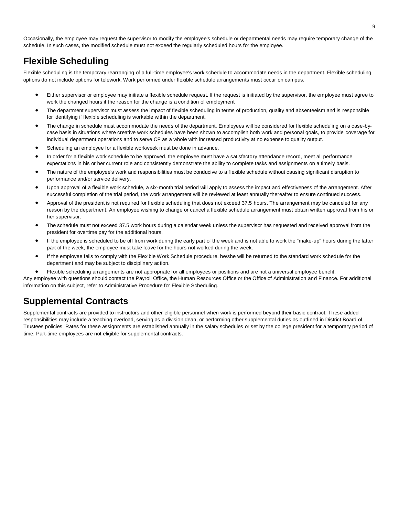Occasionally, the employee may request the supervisor to modify the employee's schedule or departmental needs may require temporary change of the schedule. In such cases, the modified schedule must not exceed the regularly scheduled hours for the employee.

#### **Flexible Scheduling**

Flexible scheduling is the temporary rearranging of a full-time employee's work schedule to accommodate needs in the department. Flexible scheduling options do not include options for telework. Work performed under flexible schedule arrangements must occur on campus.

- Either supervisor or employee may initiate a flexible schedule request. If the request is initiated by the supervisor, the employee must agree to work the changed hours if the reason for the change is a condition of employment
- The department supervisor must assess the impact of flexible scheduling in terms of production, quality and absenteeism and is responsible for identifying if flexible scheduling is workable within the department.
- The change in schedule must accommodate the needs of the department. Employees will be considered for flexible scheduling on a case-bycase basis in situations where creative work schedules have been shown to accomplish both work and personal goals, to provide coverage for individual department operations and to serve CF as a whole with increased productivity at no expense to quality output.
- Scheduling an employee for a flexible workweek must be done in advance.
- In order for a flexible work schedule to be approved, the employee must have a satisfactory attendance record, meet all performance expectations in his or her current role and consistently demonstrate the ability to complete tasks and assignments on a timely basis.
- The nature of the employee's work and responsibilities must be conducive to a flexible schedule without causing significant disruption to performance and/or service delivery.
- Upon approval of a flexible work schedule, a six-month trial period will apply to assess the impact and effectiveness of the arrangement. After successful completion of the trial period, the work arrangement will be reviewed at least annually thereafter to ensure continued success.
- Approval of the president is not required for flexible scheduling that does not exceed 37.5 hours. The arrangement may be canceled for any reason by the department. An employee wishing to change or cancel a flexible schedule arrangement must obtain written approval from his or her supervisor.
- The schedule must not exceed 37.5 work hours during a calendar week unless the supervisor has requested and received approval from the president for overtime pay for the additional hours.
- If the employee is scheduled to be off from work during the early part of the week and is not able to work the "make-up" hours during the latter part of the week, the employee must take leave for the hours not worked during the week.
- If the employee fails to comply with the Flexible Work Schedule procedure, he/she will be returned to the standard work schedule for the department and may be subject to disciplinary action.
- Flexible scheduling arrangements are not appropriate for all employees or positions and are not a universal employee benefit.

Any employee with questions should contact the Payroll Office, the Human Resources Office or the Office of Administration and Finance. For additional information on this subject, refer to Administrative Procedure for Flexible Scheduling.

#### **Supplemental Contracts**

Supplemental contracts are provided to instructors and other eligible personnel when work is performed beyond their basic contract. These added responsibilities may include a teaching overload, serving as a division dean, or performing other supplemental duties as outlined in District Board of Trustees policies. Rates for these assignments are established annually in the salary schedules or set by the college president for a temporary period of time. Part-time employees are not eligible for supplemental contracts.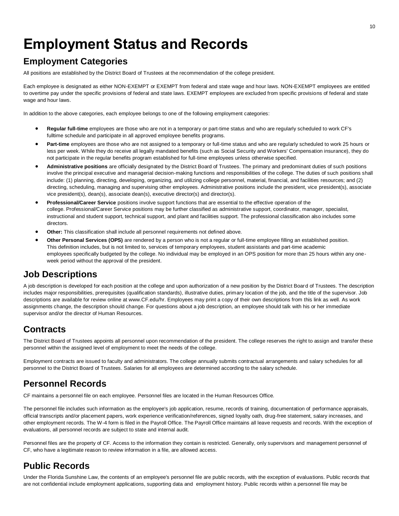## **Employment Status and Records**

#### **Employment Categories**

All positions are established by the District Board of Trustees at the recommendation of the college president.

Each employee is designated as either NON-EXEMPT or EXEMPT from federal and state wage and hour laws. NON-EXEMPT employees are entitled to overtime pay under the specific provisions of federal and state laws. EXEMPT employees are excluded from specific provisions of federal and state wage and hour laws.

In addition to the above categories, each employee belongs to one of the following employment categories:

- **Regular full-time** employees are those who are not in a temporary or part-time status and who are regularly scheduled to work CF's fulltime schedule and participate in all approved employee benefits programs.
- **Part-time** employees are those who are not assigned to a temporary or full-time status and who are regularly scheduled to work 25 hours or less per week. While they do receive all legally mandated benefits (such as Social Security and Workers' Compensation insurance), they do not participate in the regular benefits program established for full-time employees unless otherwise specified.
- **Administrative positions** are officially designated by the District Board of Trustees. The primary and predominant duties of such positions involve the principal executive and managerial decision-making functions and responsibilities of the college. The duties of such positions shall include: (1) planning, directing, developing, organizing, and utilizing college personnel, material, financial, and facilities resources; and (2) directing, scheduling, managing and supervising other employees. Administrative positions include the president, vice president(s), associate vice president(s), dean(s), associate dean(s), executive director(s) and director(s).
- **Professional/Career Service** positions involve support functions that are essential to the effective operation of the college. Professional/Career Service positions may be further classified as administrative support, coordinator, manager, specialist, instructional and student support, technical support, and plant and facilities support. The professional classification also includes some directors.
- **Other:** This classification shall include all personnel requirements not defined above.
- **Other Personal Services (OPS)** are rendered by a person who is not a regular or full-time employee filling an established position. This definition includes, but is not limited to, services of temporary employees, student assistants and part-time academic employees specifically budgeted by the college. No individual may be employed in an OPS position for more than 25 hours within any oneweek period without the approval of the president.

#### **Job Descriptions**

A job description is developed for each position at the college and upon authorization of a new position by the District Board of Trustees. The description includes major responsibilities, prerequisites (qualification standards), illustrative duties, primary location of the job, and the title of the supervisor. Job descriptions are available for review online at www.CF.edu/hr. Employees may print a copy of their own descriptions from this link as well. As work assignments change, the description should change. For questions about a job description, an employee should talk with his or her immediate supervisor and/or the director of Human Resources.

#### **Contracts**

The District Board of Trustees appoints all personnel upon recommendation of the president. The college reserves the right to assign and transfer these personnel within the assigned level of employment to meet the needs of the college.

Employment contracts are issued to faculty and administrators. The college annually submits contractual arrangements and salary schedules for all personnel to the District Board of Trustees. Salaries for all employees are determined according to the salary schedule.

#### **Personnel Records**

CF maintains a personnel file on each employee. Personnel files are located in the Human Resources Office.

The personnel file includes such information as the employee's job application, resume, records of training, documentation of performance appraisals, official transcripts and/or placement papers, work experience verification/references, signed loyalty oath, drug-free statement, salary increases, and other employment records. The W-4 form is filed in the Payroll Office. The Payroll Office maintains all leave requests and records. With the exception of evaluations, all personnel records are subject to state and internal audit.

Personnel files are the property of CF. Access to the information they contain is restricted. Generally, only supervisors and management personnel of CF, who have a legitimate reason to review information in a file, are allowed access.

#### **Public Records**

Under the Florida Sunshine Law, the contents of an employee's personnel file are public records, with the exception of evaluations. Public records that are not confidential include employment applications, supporting data and employment history. Public records within a personnel file may be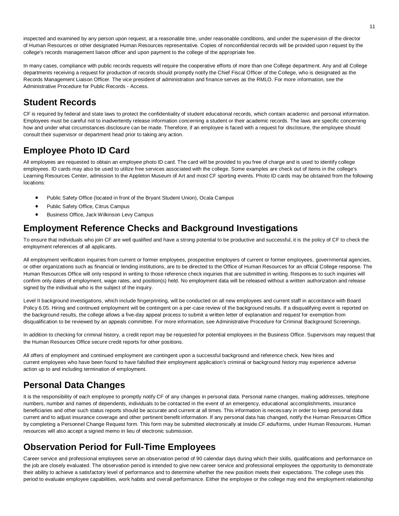inspected and examined by any person upon request, at a reasonable time, under reasonable conditions, and under the supervision of the director of Human Resources or other designated Human Resources representative. Copies of nonconfidential records will be provided upon request by the college's records management liaison officer and upon payment to the college of the appropriate fee.

In many cases, compliance with public records requests will require the cooperative efforts of more than one College department. Any and all College departments receiving a request for production of records should promptly notify the Chief Fiscal Officer of the College, who is designated as the Records Management Liaison Officer. The vice president of administration and finance serves as the RMLO. For more information, see the Administrative Procedure for Public Records - Access.

#### **Student Records**

CF is required by federal and state laws to protect the confidentiality of student educational records, which contain academic and personal information. Employees must be careful not to inadvertently release information concerning a student or their academic records. The laws are specific concerning how and under what circumstances disclosure can be made. Therefore, if an employee is faced with a request for disclosure, the employee should consult their supervisor or department head prior to taking any action.

### **Employee Photo ID Card**

All employees are requested to obtain an employee photo ID card. The card will be provided to you free of charge and is used to identify college employees. ID cards may also be used to utilize free services associated with the college. Some examples are check out of items in the college's Learning Resources Center, admission to the Appleton Museum of Art and most CF sporting events. Photo ID cards may be obtained from the following locations:

- Public Safety Office (located in front of the Bryant Student Union), Ocala Campus
- Public Safety Office, Citrus Campus
- Business Office, Jack Wilkinson Levy Campus

#### **Employment Reference Checks and Background Investigations**

To ensure that individuals who join CF are well qualified and have a strong potential to be productive and successful, it is the policy of CF to check the employment references of all applicants.

All employment verification inquiries from current or former employees, prospective employers of current or former employees, governmental agencies, or other organizations such as financial or lending institutions, are to be directed to the Office of Human Resources for an official College response. The Human Resources Office will only respond in writing to those reference check inquiries that are submitted in writing. Responses to such inquiries will confirm only dates of employment, wage rates, and position(s) held. No employment data will be released without a written authorization and release signed by the individual who is the subject of the inquiry.

Level II background investigations, which include fingerprinting, will be conducted on all new employees and current staff in accordance with Board Policy 6.05. Hiring and continued employment will be contingent on a per-case review of the background results. If a disqualifying event is reported on the background results, the college allows a five-day appeal process to submit a written letter of explanation and request for exemption from disqualification to be reviewed by an appeals committee. For more information, see Administrative Procedure for Criminal Background Screenings.

In addition to checking for criminal history, a credit report may be requested for potential employees in the Business Office. Supervisors may request that the Human Resources Office secure credit reports for other positions.

All offers of employment and continued employment are contingent upon a successful background and reference check. New hires and current employees who have been found to have falsified their employment application's criminal or background history may experience adverse action up to and including termination of employment.

### **Personal Data Changes**

It is the responsibility of each employee to promptly notify CF of any changes in personal data. Personal name changes, mailing addresses, telephone numbers, number and names of dependents, individuals to be contacted in the event of an emergency, educational accomplishments, insurance beneficiaries and other such status reports should be accurate and current at all times. This information is necessary in order to keep personal data current and to adjust insurance coverage and other pertinent benefit information. If any personal data has changed, notify the Human Resources Office by completing a Personnel Change Request form. This form may be submitted electronically at Inside.CF.edu/forms, under Human Resources. Human resources will also accept a signed memo in lieu of electronic submission.

### **Observation Period for Full-Time Employees**

Career service and professional employees serve an observation period of 90 calendar days during which their skills, qualifications and performance on the job are closely evaluated. The observation period is intended to give new career service and professional employees the opportunity to demonstrate their ability to achieve a satisfactory level of performance and to determine whether the new position meets their expectations. The college uses this period to evaluate employee capabilities, work habits and overall performance. Either the employee or the college may end the employment relationship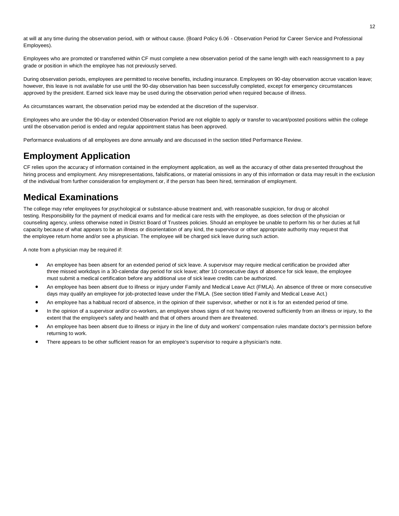at will at any time during the observation period, with or without cause. (Board Policy 6.06 - Observation Period for Career Service and Professional Employees).

Employees who are promoted or transferred within CF must complete a new observation period of the same length with each reassignment to a pay grade or position in which the employee has not previously served.

During observation periods, employees are permitted to receive benefits, including insurance. Employees on 90-day observation accrue vacation leave; however, this leave is not available for use until the 90-day observation has been successfully completed, except for emergency circumstances approved by the president. Earned sick leave may be used during the observation period when required because of illness.

As circumstances warrant, the observation period may be extended at the discretion of the supervisor.

Employees who are under the 90-day or extended Observation Period are not eligible to apply or transfer to vacant/posted positions within the college until the observation period is ended and regular appointment status has been approved.

Performance evaluations of all employees are done annually and are discussed in the section titled Performance Review.

#### **Employment Application**

CF relies upon the accuracy of information contained in the employment application, as well as the accuracy of other data presented throughout the hiring process and employment. Any misrepresentations, falsifications, or material omissions in any of this information or data may result in the exclusion of the individual from further consideration for employment or, if the person has been hired, termination of employment.

#### **Medical Examinations**

The college may refer employees for psychological or substance-abuse treatment and, with reasonable suspicion, for drug or alcohol testing. Responsibility for the payment of medical exams and for medical care rests with the employee, as does selection of the physician or counseling agency, unless otherwise noted in District Board of Trustees policies. Should an employee be unable to perform his or her duties at full capacity because of what appears to be an illness or disorientation of any kind, the supervisor or other appropriate authority may request that the employee return home and/or see a physician. The employee will be charged sick leave during such action.

A note from a physician may be required if:

- An employee has been absent for an extended period of sick leave. A supervisor may require medical certification be provided after three missed workdays in a 30-calendar day period for sick leave; after 10 consecutive days of absence for sick leave, the employee must submit a medical certification before any additional use of sick leave credits can be authorized.
- An employee has been absent due to illness or injury under Family and Medical Leave Act (FMLA). An absence of three or more consecutive days may qualify an employee for job-protected leave under the FMLA. (See section titled Family and Medical Leave Act.)
- An employee has a habitual record of absence, in the opinion of their supervisor, whether or not it is for an extended period of time.
- In the opinion of a supervisor and/or co-workers, an employee shows signs of not having recovered sufficiently from an illness or injury, to the extent that the employee's safety and health and that of others around them are threatened.
- An employee has been absent due to illness or injury in the line of duty and workers' compensation rules mandate doctor's permission before returning to work.
- There appears to be other sufficient reason for an employee's supervisor to require a physician's note.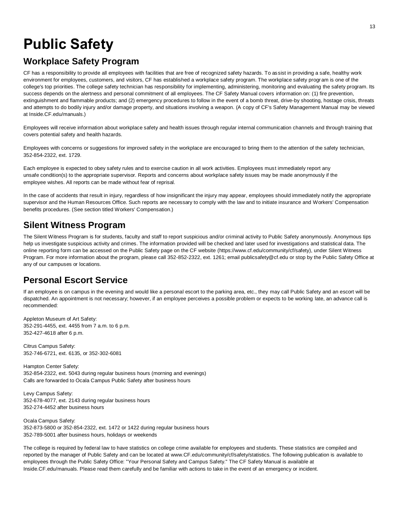## **Public Safety**

#### **Workplace Safety Program**

CF has a responsibility to provide all employees with facilities that are free of recognized safety hazards. To assist in providing a safe, healthy work environment for employees, customers, and visitors, CF has established a workplace safety program. The workplace safety program is one of the college's top priorities. The college safety technician has responsibility for implementing, administering, monitoring and evaluating the safety program. Its success depends on the alertness and personal commitment of all employees. The CF Safety Manual covers information on: (1) fire prevention, extinguishment and flammable products; and (2) emergency procedures to follow in the event of a bomb threat, drive-by shooting, hostage crisis, threats and attempts to do bodily injury and/or damage property, and situations involving a weapon. (A copy of CF's Safety Management Manual may be viewed at Inside.CF.edu/manuals.)

Employees will receive information about workplace safety and health issues through regular internal communication channels and through training that covers potential safety and health hazards.

Employees with concerns or suggestions for improved safety in the workplace are encouraged to bring them to the attention of the safety technician, 352-854-2322, ext. 1729.

Each employee is expected to obey safety rules and to exercise caution in all work activities. Employees must immediately report any unsafe condition(s) to the appropriate supervisor. Reports and concerns about workplace safety issues may be made anonymously if the employee wishes. All reports can be made without fear of reprisal.

In the case of accidents that result in injury, regardless of how insignificant the injury may appear, employees should immediately notify the appropriate supervisor and the Human Resources Office. Such reports are necessary to comply with the law and to initiate insurance and Workers' Compensation benefits procedures. (See section titled Workers' Compensation.)

#### **Silent Witness Program**

The Silent Witness Program is for students, faculty and staff to report suspicious and/or criminal activity to Public Safety anonymously. Anonymous tips help us investigate suspicious activity and crimes. The information provided will be checked and later used for investigations and statistical data. The online reporting form can be accessed on the Public Safety page on the CF website (https://www.cf.edu/community/cf/safety), under Silent Witness Program. For more information about the program, please call 352-852-2322, ext. 1261; email publicsafety@cf.edu or stop by the Public Safety Office at any of our campuses or locations.

#### **Personal Escort Service**

If an employee is on campus in the evening and would like a personal escort to the parking area, etc., they may call Public Safety and an escort will be dispatched. An appointment is not necessary; however, if an employee perceives a possible problem or expects to be working late, an advance call is recommended:

Appleton Museum of Art Safety: 352-291-4455, ext. 4455 from 7 a.m. to 6 p.m. 352-427-4618 after 6 p.m.

Citrus Campus Safety: 352-746-6721, ext. 6135, or 352-302-6081

Hampton Center Safety: 352-854-2322, ext. 5043 during regular business hours (morning and evenings) Calls are forwarded to Ocala Campus Public Safety after business hours

Levy Campus Safety: 352-678-4077, ext. 2143 during regular business hours 352-274-4452 after business hours

Ocala Campus Safety: 352-873-5800 or 352-854-2322, ext. 1472 or 1422 during regular business hours 352-789-5001 after business hours, holidays or weekends

The college is required by federal law to have statistics on college crime available for employees and students. These statistics are compiled and reported by the manager of Public Safety and can be located at www.CF.edu/community/cf/safety/statistics. The following publication is available to employees through the Public Safety Office: "Your Personal Safety and Campus Safety." The CF Safety Manual is available at Inside.CF.edu/manuals. Please read them carefully and be familiar with actions to take in the event of an emergency or incident.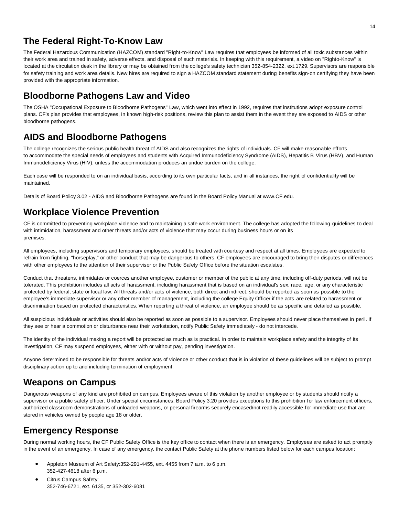#### **The Federal Right-To-Know Law**

The Federal Hazardous Communication (HAZCOM) standard "Right-to-Know" Law requires that employees be informed of all toxic substances within their work area and trained in safety, adverse effects, and disposal of such materials. In keeping with this requirement, a video on "Righto-Know" is located at the circulation desk in the library or may be obtained from the college's safety technician 352-854-2322, ext.1729. Supervisors are responsible for safety training and work area details. New hires are required to sign a HAZCOM standard statement during benefits sign-on certifying they have been provided with the appropriate information.

#### **Bloodborne Pathogens Law and Video**

The OSHA "Occupational Exposure to Bloodborne Pathogens" Law, which went into effect in 1992, requires that institutions adopt exposure control plans. CF's plan provides that employees, in known high-risk positions, review this plan to assist them in the event they are exposed to AIDS or other bloodborne pathogens.

#### **AIDS and Bloodborne Pathogens**

The college recognizes the serious public health threat of AIDS and also recognizes the rights of individuals. CF will make reasonable efforts to accommodate the special needs of employees and students with Acquired Immunodeficiency Syndrome (AIDS), Hepatitis B Virus (HBV), and Human Immunodeficiency Virus (HIV), unless the accommodation produces an undue burden on the college.

Each case will be responded to on an individual basis, according to its own particular facts, and in all instances, the right of confidentiality will be maintained.

Details of Board Policy 3.02 - AIDS and Bloodborne Pathogens are found in the Board Policy Manual at www.CF.edu.

### **Workplace Violence Prevention**

CF is committed to preventing workplace violence and to maintaining a safe work environment. The college has adopted the following guidelines to deal with intimidation, harassment and other threats and/or acts of violence that may occur during business hours or on its premises.

All employees, including supervisors and temporary employees, should be treated with courtesy and respect at all times. Employees are expected to refrain from fighting, "horseplay," or other conduct that may be dangerous to others. CF employees are encouraged to bring their disputes or differences with other employees to the attention of their supervisor or the Public Safety Office before the situation escalates.

Conduct that threatens, intimidates or coerces another employee, customer or member of the public at any time, including off-duty periods, will not be tolerated. This prohibition includes all acts of harassment, including harassment that is based on an individual's sex, race, age, or any characteristic protected by federal, state or local law. All threats and/or acts of violence, both direct and indirect, should be reported as soon as possible to the employee's immediate supervisor or any other member of management, including the college Equity Officer if the acts are related to harassment or discrimination based on protected characteristics. When reporting a threat of violence, an employee should be as specific and detailed as possible.

All suspicious individuals or activities should also be reported as soon as possible to a supervisor. Employees should never place themselves in peril. If they see or hear a commotion or disturbance near their workstation, notify Public Safety immediately - do not intercede.

The identity of the individual making a report will be protected as much as is practical. In order to maintain workplace safety and the integrity of its investigation, CF may suspend employees, either with or without pay, pending investigation.

Anyone determined to be responsible for threats and/or acts of violence or other conduct that is in violation of these guidelines will be subject to prompt disciplinary action up to and including termination of employment.

#### **Weapons on Campus**

Dangerous weapons of any kind are prohibited on campus. Employees aware of this violation by another employee or by students should notify a supervisor or a public safety officer. Under special circumstances, Board Policy 3.20 provides exceptions to this prohibition for law enforcement officers, authorized classroom demonstrations of unloaded weapons, or personal firearms securely encased/not readily accessible for immediate use that are stored in vehicles owned by people age 18 or older.

### **Emergency Response**

During normal working hours, the CF Public Safety Office is the key office to contact when there is an emergency. Employees are asked to act promptly in the event of an emergency. In case of any emergency, the contact Public Safety at the phone numbers listed below for each campus location:

- Appleton Museum of Art Safety:352-291-4455, ext. 4455 from 7 a.m. to 6 p.m. 352-427-4618 after 6 p.m.
- Citrus Campus Safety: 352-746-6721, ext. 6135, or 352-302-6081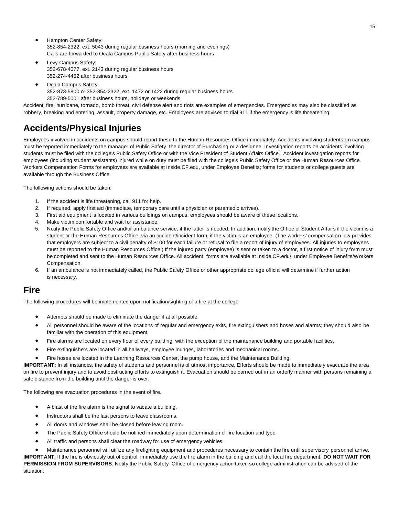- Hampton Center Safety: 352-854-2322, ext. 5043 during regular business hours (morning and evenings) Calls are forwarded to Ocala Campus Public Safety after business hours
- Levy Campus Safety: 352-678-4077, ext. 2143 during regular business hours 352-274-4452 after business hours
- Ocala Campus Safety: 352-873-5800 or 352-854-2322, ext. 1472 or 1422 during regular business hours
- 352-789-5001 after business hours, holidays or weekends

Accident, fire, hurricane, tornado, bomb threat, civil defense alert and riots are examples of emergencies. Emergencies may also be classified as robbery, breaking and entering, assault, property damage, etc. Employees are advised to dial 911 if the emergency is life threatening.

### **Accidents/Physical Injuries**

Employees involved in accidents on campus should report these to the Human Resources Office immediately. Accidents involving students on campus must be reported immediately to the manager of Public Safety, the director of Purchasing or a designee. Investigation reports on accidents involving students must be filed with the college's Public Safety Office or with the Vice President of Student Affairs Office. Accident investigation reports for employees (including student assistants) injured while on duty must be filed with the college's Public Safety Office or the Human Resources Office. Workers Compensation Forms for employees are available at Inside.CF.edu, under Employee Benefits; forms for students or college guests are available through the Business Office.

The following actions should be taken:

- 1. If the accident is life threatening, call 911 for help.
- 2. If required, apply first aid (immediate, temporary care until a physician or paramedic arrives).
- 3. First aid equipment is located in various buildings on campus; employees should be aware of these locations.
- 4. Make victim comfortable and wait for assistance.
- 5. Notify the Public Safety Office and/or ambulance service, if the latter is needed. In addition, notify the Office of Student Affairs if the victim is a student or the Human Resources Office, via an accident/incident form, if the victim is an employee. (The workers' compensation law provides that employers are subject to a civil penalty of \$100 for each failure or refusal to file a report of injury of employees. All injuries to employees must be reported to the Human Resources Office.) If the injured party (employee) is sent or taken to a doctor, a first notice of injury form must be completed and sent to the Human Resources Office. All accident forms are available at Inside.CF.edu/, under Employee Benefits/Workers Compensation.
- 6. If an ambulance is not immediately called, the Public Safety Office or other appropriate college official will determine if further action is necessary.

#### **Fire**

The following procedures will be implemented upon notification/sighting of a fire at the college.

- Attempts should be made to eliminate the danger if at all possible.
- All personnel should be aware of the locations of regular and emergency exits, fire extinguishers and hoses and alarms; they should also be familiar with the operation of this equipment.
- Fire alarms are located on every floor of every building, with the exception of the maintenance building and portable facilities.
- Fire extinguishers are located in all hallways, employee lounges, laboratories and mechanical rooms.
- Fire hoses are located in the Learning Resources Center, the pump house, and the Maintenance Building.

**IMPORTANT:** In all instances, the safety of students and personnel is of utmost importance. Efforts should be made to immediately evacuate the area on fire to prevent injury and to avoid obstructing efforts to extinguish it. Evacuation should be carried out in an orderly manner with persons remaining a safe distance from the building until the danger is over.

The following are evacuation procedures in the event of fire.

- A blast of the fire alarm is the signal to vacate a building.
- Instructors shall be the last persons to leave classrooms.
- All doors and windows shall be closed before leaving room.
- The Public Safety Office should be notified immediately upon determination of fire location and type.
- All traffic and persons shall clear the roadway for use of emergency vehicles.

• Maintenance personnel will utilize any firefighting equipment and procedures necessary to contain the fire until supervisory personnel arrive. **IMPORTANT**: If the fire is obviously out of control, immediately use the fire alarm in the building and call the local fire department. **DO NOT WAIT FOR PERMISSION FROM SUPERVISORS**. Notify the Public Safety Office of emergency action taken so college administration can be advised of the situation.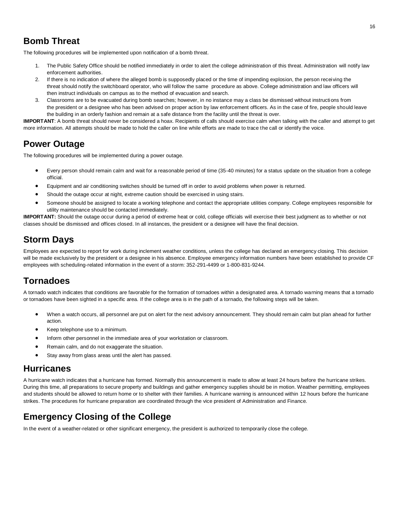#### **Bomb Threat**

The following procedures will be implemented upon notification of a bomb threat.

- 1. The Public Safety Office should be notified immediately in order to alert the college administration of this threat. Administration will notify law enforcement authorities.
- 2. If there is no indication of where the alleged bomb is supposedly placed or the time of impending explosion, the person receiving the threat should notify the switchboard operator, who will follow the same procedure as above. College administration and law officers will then instruct individuals on campus as to the method of evacuation and search.
- 3. Classrooms are to be evacuated during bomb searches; however, in no instance may a class be dismissed without instructions from the president or a designee who has been advised on proper action by law enforcement officers. As in the case of fire, people should leave the building in an orderly fashion and remain at a safe distance from the facility until the threat is over.

**IMPORTANT**: A bomb threat should never be considered a hoax. Recipients of calls should exercise calm when talking with the caller and attempt to get more information. All attempts should be made to hold the caller on line while efforts are made to trace the call or identify the voice.

#### **Power Outage**

The following procedures will be implemented during a power outage.

- Every person should remain calm and wait for a reasonable period of time (35-40 minutes) for a status update on the situation from a college official.
- Equipment and air conditioning switches should be turned off in order to avoid problems when power is returned.
- Should the outage occur at night, extreme caution should be exercised in using stairs.
- Someone should be assigned to locate a working telephone and contact the appropriate utilities company. College employees responsible for utility maintenance should be contacted immediately.

**IMPORTANT:** Should the outage occur during a period of extreme heat or cold, college officials will exercise their best judgment as to whether or not classes should be dismissed and offices closed. In all instances, the president or a designee will have the final decision.

#### **Storm Days**

Employees are expected to report for work during inclement weather conditions, unless the college has declared an emergency closing. This decision will be made exclusively by the president or a designee in his absence. Employee emergency information numbers have been established to provide CF employees with scheduling-related information in the event of a storm: 352-291-4499 or 1-800-831-9244.

#### **Tornadoes**

A tornado watch indicates that conditions are favorable for the formation of tornadoes within a designated area. A tornado warning means that a tornado or tornadoes have been sighted in a specific area. If the college area is in the path of a tornado, the following steps will be taken.

- When a watch occurs, all personnel are put on alert for the next advisory announcement. They should remain calm but plan ahead for further action.
- Keep telephone use to a minimum.
- Inform other personnel in the immediate area of your workstation or classroom.
- Remain calm, and do not exaggerate the situation.
- Stay away from glass areas until the alert has passed.

#### **Hurricanes**

A hurricane watch indicates that a hurricane has formed. Normally this announcement is made to allow at least 24 hours before the hurricane strikes. During this time, all preparations to secure property and buildings and gather emergency supplies should be in motion. Weather permitting, employees and students should be allowed to return home or to shelter with their families. A hurricane warning is announced within 12 hours before the hurricane strikes. The procedures for hurricane preparation are coordinated through the vice president of Administration and Finance.

#### **Emergency Closing of the College**

In the event of a weather-related or other significant emergency, the president is authorized to temporarily close the college.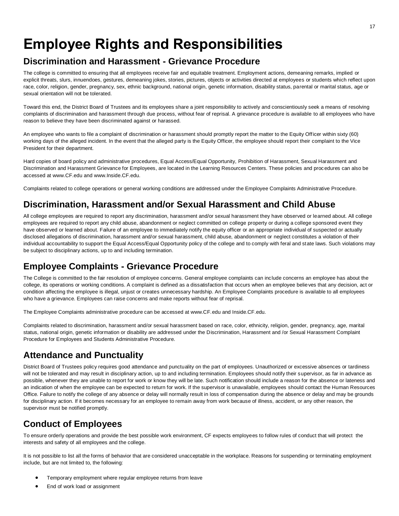## **Employee Rights and Responsibilities**

#### **Discrimination and Harassment - Grievance Procedure**

The college is committed to ensuring that all employees receive fair and equitable treatment. Employment actions, demeaning remarks, implied or explicit threats, slurs, innuendoes, gestures, demeaning jokes, stories, pictures, objects or activities directed at employees or students which reflect upon race, color, religion, gender, pregnancy, sex, ethnic background, national origin, genetic information, disability status, parental or marital status, age or sexual orientation will not be tolerated.

Toward this end, the District Board of Trustees and its employees share a joint responsibility to actively and conscientiously seek a means of resolving complaints of discrimination and harassment through due process, without fear of reprisal. A grievance procedure is available to all employees who have reason to believe they have been discriminated against or harassed.

An employee who wants to file a complaint of discrimination or harassment should promptly report the matter to the Equity Officer within sixty (60) working days of the alleged incident. In the event that the alleged party is the Equity Officer, the employee should report their complaint to the Vice President for their department.

Hard copies of board policy and administrative procedures, Equal Access/Equal Opportunity, Prohibition of Harassment, Sexual Harassment and Discrimination and Harassment Grievance for Employees, are located in the Learning Resources Centers. These policies and procedures can also be accessed at www.CF.edu and www.Inside.CF.edu.

Complaints related to college operations or general working conditions are addressed under the Employee Complaints Administrative Procedure.

#### **Discrimination, Harassment and/or Sexual Harassment and Child Abuse**

All college employees are required to report any discrimination, harassment and/or sexual harassment they have observed or learned about. All college employees are required to report any child abuse, abandonment or neglect committed on college property or during a college sponsored event they have observed or learned about. Failure of an employee to immediately notify the equity officer or an appropriate individual of suspected or actually disclosed allegations of discrimination, harassment and/or sexual harassment, child abuse, abandonment or neglect constitutes a violation of their individual accountability to support the Equal Access/Equal Opportunity policy of the college and to comply with feral and state laws. Such violations may be subject to disciplinary actions, up to and including termination.

#### **Employee Complaints - Grievance Procedure**

The College is committed to the fair resolution of employee concerns. General employee complaints can include concerns an employee has about the college, its operations or working conditions. A complaint is defined as a dissatisfaction that occurs when an employee believes that any decision, act or condition affecting the employee is illegal, unjust or creates unnecessary hardship. An Employee Complaints procedure is available to all employees who have a grievance. Employees can raise concerns and make reports without fear of reprisal.

The Employee Complaints administrative procedure can be accessed at www.CF.edu and Inside.CF.edu.

Complaints related to discrimination, harassment and/or sexual harassment based on race, color, ethnicity, religion, gender, pregnancy, age, marital status, national origin, genetic information or disability are addressed under the Discrimination, Harassment and /or Sexual Harassment Complaint Procedure for Employees and Students Administrative Procedure.

#### **Attendance and Punctuality**

District Board of Trustees policy requires good attendance and punctuality on the part of employees. Unauthorized or excessive absences or tardiness will not be tolerated and may result in disciplinary action, up to and including termination. Employees should notify their supervisor, as far in advance as possible, whenever they are unable to report for work or know they will be late. Such notification should include a reason for the absence or lateness and an indication of when the employee can be expected to return for work. If the supervisor is unavailable, employees should contact the Human Resources Office. Failure to notify the college of any absence or delay will normally result in loss of compensation during the absence or delay and may be grounds for disciplinary action. If it becomes necessary for an employee to remain away from work because of illness, accident, or any other reason, the supervisor must be notified promptly.

### **Conduct of Employees**

To ensure orderly operations and provide the best possible work environment, CF expects employees to follow rules of conduct that will protect the interests and safety of all employees and the college.

It is not possible to list all the forms of behavior that are considered unacceptable in the workplace. Reasons for suspending or terminating employment include, but are not limited to, the following:

- Temporary employment where regular employee returns from leave
- End of work load or assignment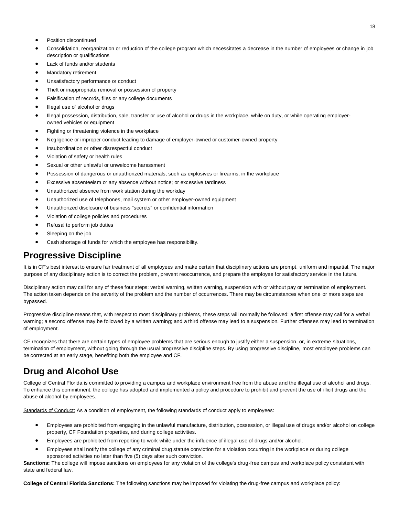- Position discontinued
- Consolidation, reorganization or reduction of the college program which necessitates a decrease in the number of employees or change in job description or qualifications
- Lack of funds and/or students
- Mandatory retirement
- Unsatisfactory performance or conduct
- Theft or inappropriate removal or possession of property
- Falsification of records, files or any college documents
- Illegal use of alcohol or drugs
- Illegal possession, distribution, sale, transfer or use of alcohol or drugs in the workplace, while on duty, or while operating employerowned vehicles or equipment
- Fighting or threatening violence in the workplace
- Negligence or improper conduct leading to damage of employer-owned or customer-owned property
- Insubordination or other disrespectful conduct
- Violation of safety or health rules
- Sexual or other unlawful or unwelcome harassment
- Possession of dangerous or unauthorized materials, such as explosives or firearms, in the workplace
- Excessive absenteeism or any absence without notice; or excessive tardiness
- Unauthorized absence from work station during the workday
- Unauthorized use of telephones, mail system or other employer-owned equipment
- Unauthorized disclosure of business "secrets" or confidential information
- Violation of college policies and procedures
- Refusal to perform job duties
- Sleeping on the job
- Cash shortage of funds for which the employee has responsibility.

#### **Progressive Discipline**

It is in CF's best interest to ensure fair treatment of all employees and make certain that disciplinary actions are prompt, uniform and impartial. The major purpose of any disciplinary action is to correct the problem, prevent reoccurrence, and prepare the employee for satisfactory service in the future.

Disciplinary action may call for any of these four steps: verbal warning, written warning, suspension with or without pay or termination of employment. The action taken depends on the severity of the problem and the number of occurrences. There may be circumstances when one or more steps are bypassed.

Progressive discipline means that, with respect to most disciplinary problems, these steps will normally be followed: a first offense may call for a verbal warning; a second offense may be followed by a written warning; and a third offense may lead to a suspension. Further offenses may lead to termination of employment.

CF recognizes that there are certain types of employee problems that are serious enough to justify either a suspension, or, in extreme situations, termination of employment, without going through the usual progressive discipline steps. By using progressive discipline, most employee problems can be corrected at an early stage, benefiting both the employee and CF.

#### **Drug and Alcohol Use**

College of Central Florida is committed to providing a campus and workplace environment free from the abuse and the illegal use of alcohol and drugs. To enhance this commitment, the college has adopted and implemented a policy and procedure to prohibit and prevent the use of illicit drugs and the abuse of alcohol by employees.

Standards of Conduct: As a condition of employment, the following standards of conduct apply to employees:

- Employees are prohibited from engaging in the unlawful manufacture, distribution, possession, or illegal use of drugs and/or alcohol on college property, CF Foundation properties, and during college activities.
- Employees are prohibited from reporting to work while under the influence of illegal use of drugs and/or alcohol.
- Employees shall notify the college of any criminal drug statute conviction for a violation occurring in the workplace or during college sponsored activities no later than five (5) days after such conviction.

**Sanctions:** The college will impose sanctions on employees for any violation of the college's drug-free campus and workplace policy consistent with state and federal law.

**College of Central Florida Sanctions:** The following sanctions may be imposed for violating the drug-free campus and workplace policy: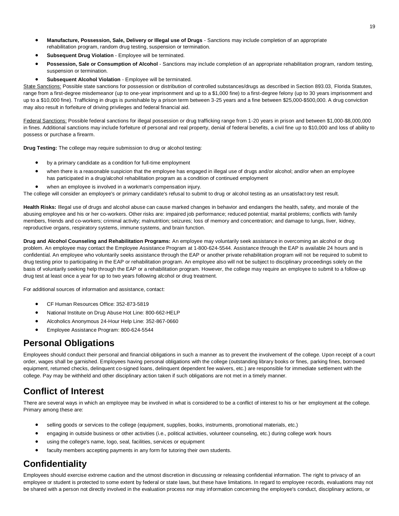- **Manufacture, Possession, Sale, Delivery or Illegal use of Drugs** Sanctions may include completion of an appropriate rehabilitation program, random drug testing, suspension or termination.
- **Subsequent Drug Violation** Employee will be terminated.
- **Possession, Sale or Consumption of Alcohol** Sanctions may include completion of an appropriate rehabilitation program, random testing, suspension or termination.
- **Subsequent Alcohol Violation** Employee will be terminated.

State Sanctions: Possible state sanctions for possession or distribution of controlled substances/drugs as described in Section 893.03, Florida Statutes, range from a first-degree misdemeanor (up to one-year imprisonment and up to a \$1,000 fine) to a first-degree felony (up to 30 years imprisonment and up to a \$10,000 fine). Trafficking in drugs is punishable by a prison term between 3-25 years and a fine between \$25,000-\$500,000. A drug conviction may also result in forfeiture of driving privileges and federal financial aid.

Federal Sanctions: Possible federal sanctions for illegal possession or drug trafficking range from 1-20 years in prison and between \$1,000-\$8,000,000 in fines. Additional sanctions may include forfeiture of personal and real property, denial of federal benefits, a civil fine up to \$10,000 and loss of ability to possess or purchase a firearm.

**Drug Testing:** The college may require submission to drug or alcohol testing:

- by a primary candidate as a condition for full-time employment
- when there is a reasonable suspicion that the employee has engaged in illegal use of drugs and/or alcohol; and/or when an employee has participated in a drug/alcohol rehabilitation program as a condition of continued employment
- when an employee is involved in a workman's compensation injury.

The college will consider an employee's or primary candidate's refusal to submit to drug or alcohol testing as an unsatisfactory test result.

**Health Risks:** Illegal use of drugs and alcohol abuse can cause marked changes in behavior and endangers the health, safety, and morale of the abusing employee and his or her co-workers. Other risks are: impaired job performance; reduced potential; marital problems; conflicts with family members, friends and co-workers; criminal activity; malnutrition; seizures; loss of memory and concentration; and damage to lungs, liver, kidney, reproductive organs, respiratory systems, immune systems, and brain function.

**Drug and Alcohol Counseling and Rehabilitation Programs:** An employee may voluntarily seek assistance in overcoming an alcohol or drug problem. An employee may contact the Employee Assistance Program at 1-800-624-5544. Assistance through the EAP is available 24 hours and is confidential. An employee who voluntarily seeks assistance through the EAP or another private rehabilitation program will not be required to submit to drug testing prior to participating in the EAP or rehabilitation program. An employee also will not be subject to disciplinary proceedings solely on the basis of voluntarily seeking help through the EAP or a rehabilitation program. However, the college may require an employee to submit to a follow-up drug test at least once a year for up to two years following alcohol or drug treatment.

For additional sources of information and assistance, contact:

- CF Human Resources Office: 352-873-5819
- National Institute on Drug Abuse Hot Line: 800-662-HELP
- Alcoholics Anonymous 24-Hour Help Line: 352-867-0660
- Employee Assistance Program: 800-624-5544

#### **Personal Obligations**

Employees should conduct their personal and financial obligations in such a manner as to prevent the involvement of the college. Upon receipt of a court order, wages shall be garnished. Employees having personal obligations with the college (outstanding library books or fines, parking fines, borrowed equipment, returned checks, delinquent co-signed loans, delinquent dependent fee waivers, etc.) are responsible for immediate settlement with the college. Pay may be withheld and other disciplinary action taken if such obligations are not met in a timely manner.

#### **Conflict of Interest**

There are several ways in which an employee may be involved in what is considered to be a conflict of interest to his or her employment at the college. Primary among these are:

- selling goods or services to the college (equipment, supplies, books, instruments, promotional materials, etc.)
- engaging in outside business or other activities (i.e., political activities, volunteer counseling, etc.) during college work hours
- using the college's name, logo, seal, facilities, services or equipment
- faculty members accepting payments in any form for tutoring their own students.

#### **Confidentiality**

Employees should exercise extreme caution and the utmost discretion in discussing or releasing confidential information. The right to privacy of an employee or student is protected to some extent by federal or state laws, but these have limitations. In regard to employee records, evaluations may not be shared with a person not directly involved in the evaluation process nor may information concerning the employee's conduct, disciplinary actions, or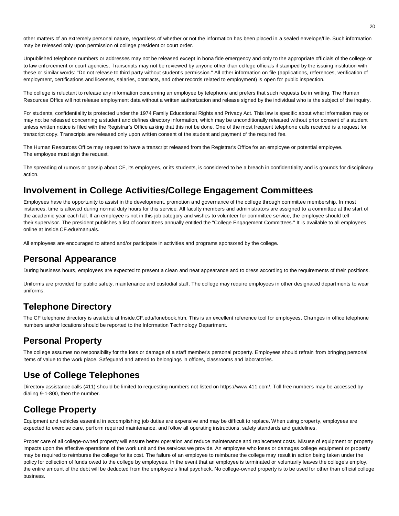other matters of an extremely personal nature, regardless of whether or not the information has been placed in a sealed envelope/file. Such information may be released only upon permission of college president or court order.

Unpublished telephone numbers or addresses may not be released except in bona fide emergency and only to the appropriate officials of the college or to law enforcement or court agencies. Transcripts may not be reviewed by anyone other than college officials if stamped by the issuing institution with these or similar words: "Do not release to third party without student's permission." All other information on file (applications, references, verification of employment, certifications and licenses, salaries, contracts, and other records related to employment) is open for public inspection.

The college is reluctant to release any information concerning an employee by telephone and prefers that such requests be in writing. The Human Resources Office will not release employment data without a written authorization and release signed by the individual who is the subject of the inquiry.

For students, confidentiality is protected under the 1974 Family Educational Rights and Privacy Act. This law is specific about what information may or may not be released concerning a student and defines directory information, which may be unconditionally released without prior consent of a student unless written notice is filed with the Registrar's Office asking that this not be done. One of the most frequent telephone calls received is a request for transcript copy. Transcripts are released only upon written consent of the student and payment of the required fee.

The Human Resources Office may request to have a transcript released from the Registrar's Office for an employee or potential employee. The employee must sign the request.

The spreading of rumors or gossip about CF, its employees, or its students, is considered to be a breach in confidentiality and is grounds for disciplinary action.

#### **Involvement in College Activities/College Engagement Committees**

Employees have the opportunity to assist in the development, promotion and governance of the college through committee membership. In most instances, time is allowed during normal duty hours for this service. All faculty members and administrators are assigned to a committee at the start of the academic year each fall. If an employee is not in this job category and wishes to volunteer for committee service, the employee should tell their supervisor. The president publishes a list of committees annually entitled the "College Engagement Committees." It is available to all employees online at Inside.CF.edu/manuals.

All employees are encouraged to attend and/or participate in activities and programs sponsored by the college.

#### **Personal Appearance**

During business hours, employees are expected to present a clean and neat appearance and to dress according to the requirements of their positions.

Uniforms are provided for public safety, maintenance and custodial staff. The college may require employees in other designated departments to wear uniforms.

#### **Telephone Directory**

The CF telephone directory is available at Inside.CF.edu/fonebook.htm. This is an excellent reference tool for employees. Changes in office telephone numbers and/or locations should be reported to the Information Technology Department.

#### **Personal Property**

The college assumes no responsibility for the loss or damage of a staff member's personal property. Employees should refrain from bringing personal items of value to the work place. Safeguard and attend to belongings in offices, classrooms and laboratories.

#### **Use of College Telephones**

Directory assistance calls (411) should be limited to requesting numbers not listed on https://www.411.com/. Toll free numbers may be accessed by dialing 9-1-800, then the number.

### **College Property**

Equipment and vehicles essential in accomplishing job duties are expensive and may be difficult to replace. When using property, employees are expected to exercise care, perform required maintenance, and follow all operating instructions, safety standards and guidelines.

Proper care of all college-owned property will ensure better operation and reduce maintenance and replacement costs. Misuse of equipment or property impacts upon the effective operations of the work unit and the services we provide. An employee who loses or damages college equipment or property may be required to reimburse the college for its cost. The failure of an employee to reimburse the college may result in action being taken under the policy for collection of funds owed to the college by employees. In the event that an employee is terminated or voluntarily leaves the college's employ, the entire amount of the debt will be deducted from the employee's final paycheck. No college-owned property is to be used for other than official college business.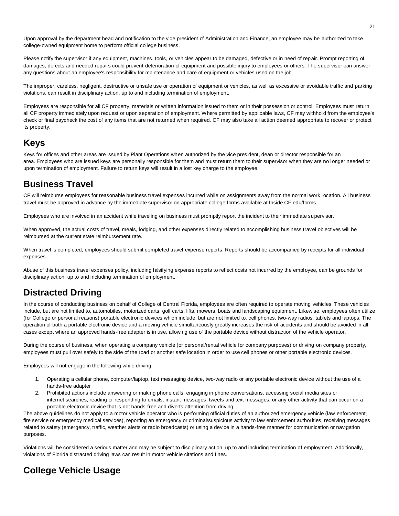Upon approval by the department head and notification to the vice president of Administration and Finance, an employee may be authorized to take college-owned equipment home to perform official college business.

Please notify the supervisor if any equipment, machines, tools, or vehicles appear to be damaged, defective or in need of repair. Prompt reporting of damages, defects and needed repairs could prevent deterioration of equipment and possible injury to employees or others. The supervisor can answer any questions about an employee's responsibility for maintenance and care of equipment or vehicles used on the job.

The improper, careless, negligent, destructive or unsafe use or operation of equipment or vehicles, as well as excessive or avoidable traffic and parking violations, can result in disciplinary action, up to and including termination of employment.

Employees are responsible for all CF property, materials or written information issued to them or in their possession or control. Employees must return all CF property immediately upon request or upon separation of employment. Where permitted by applicable laws, CF may withhold from the employee's check or final paycheck the cost of any items that are not returned when required. CF may also take all action deemed appropriate to recover or protect its property.

#### **Keys**

Keys for offices and other areas are issued by Plant Operations when authorized by the vice president, dean or director responsible for an area. Employees who are issued keys are personally responsible for them and must return them to their supervisor when they are no longer needed or upon termination of employment. Failure to return keys will result in a lost key charge to the employee.

#### **Business Travel**

CF will reimburse employees for reasonable business travel expenses incurred while on assignments away from the normal work location. All business travel must be approved in advance by the immediate supervisor on appropriate college forms available at Inside.CF.edu/forms.

Employees who are involved in an accident while traveling on business must promptly report the incident to their immediate supervisor.

When approved, the actual costs of travel, meals, lodging, and other expenses directly related to accomplishing business travel objectives will be reimbursed at the current state reimbursement rate.

When travel is completed, employees should submit completed travel expense reports. Reports should be accompanied by receipts for all individual expenses.

Abuse of this business travel expenses policy, including falsifying expense reports to reflect costs not incurred by the employee, can be grounds for disciplinary action, up to and including termination of employment.

#### **Distracted Driving**

In the course of conducting business on behalf of College of Central Florida, employees are often required to operate moving vehicles. These vehicles include, but are not limited to, automobiles, motorized carts, golf carts, lifts, mowers, boats and landscaping equipment. Likewise, employees often utilize (for College or personal reasons) portable electronic devices which include, but are not limited to, cell phones, two-way radios, tablets and laptops. The operation of both a portable electronic device and a moving vehicle simultaneously greatly increases the risk of accidents and should be avoided in all cases except where an approved hands-free adapter is in use, allowing use of the portable device without distraction of the vehicle operator.

During the course of business, when operating a company vehicle (or personal/rental vehicle for company purposes) or driving on company property, employees must pull over safely to the side of the road or another safe location in order to use cell phones or other portable electronic devices.

Employees will not engage in the following while driving:

- 1. Operating a cellular phone, computer/laptop, text messaging device, two-way radio or any portable electronic device without the use of a hands-free adapter
- 2. Prohibited actions include answering or making phone calls, engaging in phone conversations, accessing social media sites or internet searches, reading or responding to emails, instant messages, tweets and text messages, or any other activity that can occur on a portable electronic device that is not hands-free and diverts attention from driving.

The above guidelines do not apply to a motor vehicle operator who is performing official duties of an authorized emergency vehicle (law enforcement, fire service or emergency medical services), reporting an emergency or criminal/suspicious activity to law enforcement authorities, receiving messages related to safety (emergency, traffic, weather alerts or radio broadcasts) or using a device in a hands-free manner for communication or navigation purposes.

Violations will be considered a serious matter and may be subject to disciplinary action, up to and including termination of employment. Additionally, violations of Florida distracted driving laws can result in motor vehicle citations and fines.

### **College Vehicle Usage**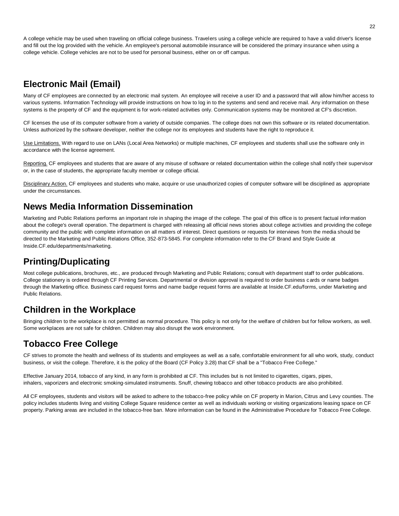A college vehicle may be used when traveling on official college business. Travelers using a college vehicle are required to have a valid driver's license and fill out the log provided with the vehicle. An employee's personal automobile insurance will be considered the primary insurance when using a college vehicle. College vehicles are not to be used for personal business, either on or off campus.

#### **Electronic Mail (Email)**

Many of CF employees are connected by an electronic mail system. An employee will receive a user ID and a password that will allow him/her access to various systems. Information Technology will provide instructions on how to log in to the systems and send and receive mail. Any information on these systems is the property of CF and the equipment is for work-related activities only. Communication systems may be monitored at CF's discretion.

CF licenses the use of its computer software from a variety of outside companies. The college does not own this software or its related documentation. Unless authorized by the software developer, neither the college nor its employees and students have the right to reproduce it.

Use Limitations. With regard to use on LANs (Local Area Networks) or multiple machines, CF employees and students shall use the software only in accordance with the license agreement.

Reporting. CF employees and students that are aware of any misuse of software or related documentation within the college shall notify their supervisor or, in the case of students, the appropriate faculty member or college official.

Disciplinary Action. CF employees and students who make, acquire or use unauthorized copies of computer software will be disciplined as appropriate under the circumstances.

#### **News Media Information Dissemination**

Marketing and Public Relations performs an important role in shaping the image of the college. The goal of this office is to present factual information about the college's overall operation. The department is charged with releasing all official news stories about college activities and providing the college community and the public with complete information on all matters of interest. Direct questions or requests for interviews from the media should be directed to the Marketing and Public Relations Office, 352-873-5845. For complete information refer to the CF Brand and Style Guide at Inside.CF.edu/departments/marketing.

#### **Printing/Duplicating**

Most college publications, brochures, etc., are produced through Marketing and Public Relations; consult with department staff to order publications. College stationery is ordered through CF Printing Services. Departmental or division approval is required to order business cards or name badges through the Marketing office. Business card request forms and name badge request forms are available at Inside.CF.edu/forms, under Marketing and Public Relations.

#### **Children in the Workplace**

Bringing children to the workplace is not permitted as normal procedure. This policy is not only for the welfare of children but for fellow workers, as well. Some workplaces are not safe for children. Children may also disrupt the work environment.

#### **Tobacco Free College**

CF strives to promote the health and wellness of its students and employees as well as a safe, comfortable environment for all who work, study, conduct business, or visit the college. Therefore, it is the policy of the Board (CF Policy 3.28) that CF shall be a "Tobacco Free College."

Effective January 2014, tobacco of any kind, in any form is prohibited at CF. This includes but is not limited to cigarettes, cigars, pipes, inhalers, vaporizers and electronic smoking-simulated instruments. Snuff, chewing tobacco and other tobacco products are also prohibited.

All CF employees, students and visitors will be asked to adhere to the tobacco-free policy while on CF property in Marion, Citrus and Levy counties. The policy includes students living and visiting College Square residence center as well as individuals working or visiting organizations leasing space on CF property. Parking areas are included in the tobacco-free ban. More information can be found in the Administrative Procedure for Tobacco Free College.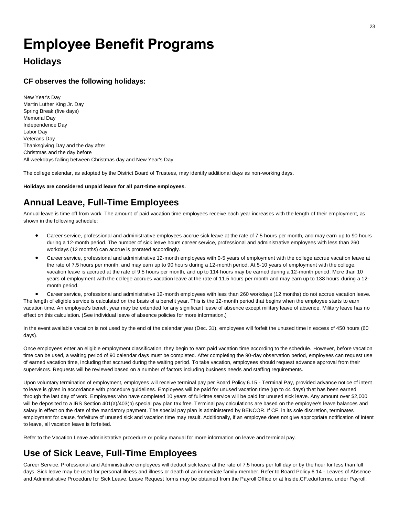## **Employee Benefit Programs**

#### **Holidays**

#### **CF observes the following holidays:**

New Year's Day Martin Luther King Jr. Day Spring Break (five days) Memorial Day Independence Day Labor Day Veterans Day Thanksgiving Day and the day after Christmas and the day before All weekdays falling between Christmas day and New Year's Day

The college calendar, as adopted by the District Board of Trustees, may identify additional days as non-working days.

**Holidays are considered unpaid leave for all part-time employees.**

#### **Annual Leave, Full-Time Employees**

Annual leave is time off from work. The amount of paid vacation time employees receive each year increases with the length of their employment, as shown in the following schedule:

- Career service, professional and administrative employees accrue sick leave at the rate of 7.5 hours per month, and may earn up to 90 hours during a 12-month period. The number of sick leave hours career service, professional and administrative employees with less than 260 workdays (12 months) can accrue is prorated accordingly.
- Career service, professional and administrative 12-month employees with 0-5 years of employment with the college accrue vacation leave at the rate of 7.5 hours per month, and may earn up to 90 hours during a 12-month period. At 5-10 years of employment with the college, vacation leave is accrued at the rate of 9.5 hours per month, and up to 114 hours may be earned during a 12-month period. More than 10 years of employment with the college accrues vacation leave at the rate of 11.5 hours per month and may earn up to 138 hours during a 12 month period.

• Career service, professional and administrative 12-month employees with less than 260 workdays (12 months) do not accrue vacation leave. The length of eligible service is calculated on the basis of a benefit year. This is the 12-month period that begins when the employee starts to earn vacation time. An employee's benefit year may be extended for any significant leave of absence except military leave of absence. Military leave has no effect on this calculation. (See individual leave of absence policies for more information.)

In the event available vacation is not used by the end of the calendar year (Dec. 31), employees will forfeit the unused time in excess of 450 hours (60 days).

Once employees enter an eligible employment classification, they begin to earn paid vacation time according to the schedule. However, before vacation time can be used, a waiting period of 90 calendar days must be completed. After completing the 90-day observation period, employees can request use of earned vacation time, including that accrued during the waiting period. To take vacation, employees should request advance approval from their supervisors. Requests will be reviewed based on a number of factors including business needs and staffing requirements.

Upon voluntary termination of employment, employees will receive terminal pay per Board Policy 6.15 - Terminal Pay, provided advance notice of intent to leave is given in accordance with procedure guidelines. Employees will be paid for unused vacation time (up to 44 days) that has been earned through the last day of work. Employees who have completed 10 years of full-time service will be paid for unused sick leave. Any amount over \$2,000 will be deposited to a IRS Section 401(a)/403(b) special pay plan tax free. Terminal pay calculations are based on the employee's leave balances and salary in effect on the date of the mandatory payment. The special pay plan is administered by BENCOR. If CF, in its sole discretion, terminates employment for cause, forfeiture of unused sick and vacation time may result. Additionally, if an employee does not give appropriate notification of intent to leave, all vacation leave is forfeited.

Refer to the Vacation Leave administrative procedure or policy manual for more information on leave and terminal pay.

#### **Use of Sick Leave, Full-Time Employees**

Career Service, Professional and Administrative employees will deduct sick leave at the rate of 7.5 hours per full day or by the hour for less than full days. Sick leave may be used for personal illness and illness or death of an immediate family member. Refer to Board Policy 6.14 - Leaves of Absence and Administrative Procedure for Sick Leave. Leave Request forms may be obtained from the Payroll Office or at Inside.CF.edu/forms, under Payroll.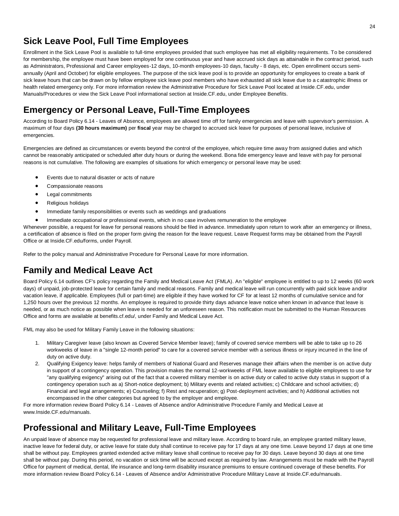#### **Sick Leave Pool, Full Time Employees**

Enrollment in the Sick Leave Pool is available to full-time employees provided that such employee has met all eligibility requirements. To be considered for membership, the employee must have been employed for one continuous year and have accrued sick days as attainable in the contract period, such as Administrators, Professional and Career employees-12 days, 10-month employees-10 days, faculty - 8 days, etc. Open enrollment occurs semiannually (April and October) for eligible employees. The purpose of the sick leave pool is to provide an opportunity for employees to create a bank of sick leave hours that can be drawn on by fellow employee sick leave pool members who have exhausted all sick leave due to a catastrophic illness or health related emergency only. For more information review the Administrative Procedure for Sick Leave Pool located at Inside.CF.edu, under Manuals/Procedures or view the Sick Leave Pool informational section at Inside.CF.edu, under Employee Benefits.

#### **Emergency or Personal Leave, Full-Time Employees**

According to Board Policy 6.14 - Leaves of Absence, employees are allowed time off for family emergencies and leave with supervisor's permission. A maximum of four days **(30 hours maximum)** per **fiscal** year may be charged to accrued sick leave for purposes of personal leave, inclusive of emergencies.

Emergencies are defined as circumstances or events beyond the control of the employee, which require time away from assigned duties and which cannot be reasonably anticipated or scheduled after duty hours or during the weekend. Bona fide emergency leave and leave with pay for personal reasons is not cumulative. The following are examples of situations for which emergency or personal leave may be used:

- Events due to natural disaster or acts of nature
- Compassionate reasons
- Legal commitments
- Religious holidays
- Immediate family responsibilities or events such as weddings and graduations
- Immediate occupational or professional events, which in no case involves remuneration to the employee

Whenever possible, a request for leave for personal reasons should be filed in advance. Immediately upon return to work after an emergency or illness, a certification of absence is filed on the proper form giving the reason for the leave request. Leave Request forms may be obtained from the Payroll Office or at Inside.CF.edu/forms, under Payroll.

Refer to the policy manual and Administrative Procedure for Personal Leave for more information.

### **Family and Medical Leave Act**

Board Policy 6.14 outlines CF's policy regarding the Family and Medical Leave Act (FMLA). An "eligible" employee is entitled to up to 12 weeks (60 work days) of unpaid, job-protected leave for certain family and medical reasons. Family and medical leave will run concurrently with paid sick leave and/or vacation leave, if applicable. Employees (full or part-time) are eligible if they have worked for CF for at least 12 months of cumulative service and for 1,250 hours over the previous 12 months. An employee is required to provide thirty days advance leave notice when known in advance that leave is needed, or as much notice as possible when leave is needed for an unforeseen reason. This notification must be submitted to the Human Resources Office and forms are available at benefits.cf.edu/, under Family and Medical Leave Act.

FML may also be used for Military Family Leave in the following situations:

- 1. Military Caregiver leave (also known as Covered Service Member leave); family of covered service members will be able to take up to 26 workweeks of leave in a "single 12-month period" to care for a covered service member with a serious illness or injury incurred in the line of duty on active duty.
- 2. Qualifying Exigency leave: helps family of members of National Guard and Reserves manage their affairs when the member is on active duty in support of a contingency operation. This provision makes the normal 12-workweeks of FML leave available to eligible employees to use for "any qualifying exigency" arising out of the fact that a covered military member is on active duty or called to active duty status in support of a contingency operation such as a) Short-notice deployment; b) Military events and related activities; c) Childcare and school activities; d) Financial and legal arrangements; e) Counseling; f) Rest and recuperation; g) Post-deployment activities; and h) Additional activities not encompassed in the other categories but agreed to by the employer and employee.

For more information review Board Policy 6.14 - Leaves of Absence and/or Administrative Procedure Family and Medical Leave at www.Inside.CF.edu/manuals.

#### **Professional and Military Leave, Full-Time Employees**

An unpaid leave of absence may be requested for professional leave and military leave. According to board rule, an employee granted military leave, inactive leave for federal duty, or active leave for state duty shall continue to receive pay for 17 days at any one time. Leave beyond 17 days at one time shall be without pay. Employees granted extended active military leave shall continue to receive pay for 30 days. Leave beyond 30 days at one time shall be without pay. During this period, no vacation or sick time will be accrued except as required by law. Arrangements must be made with the Payroll Office for payment of medical, dental, life insurance and long-term disability insurance premiums to ensure continued coverage of these benefits. For more information review Board Policy 6.14 - Leaves of Absence and/or Administrative Procedure Military Leave at Inside.CF.edu/manuals.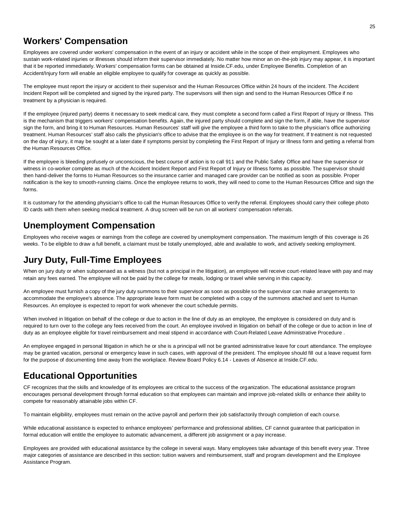#### **Workers' Compensation**

Employees are covered under workers' compensation in the event of an injury or accident while in the scope of their employment. Employees who sustain work-related injuries or illnesses should inform their supervisor immediately. No matter how minor an on-the-job injury may appear, it is important that it be reported immediately. Workers' compensation forms can be obtained at Inside.CF.edu, under Employee Benefits. Completion of an Accident/Injury form will enable an eligible employee to qualify for coverage as quickly as possible.

The employee must report the injury or accident to their supervisor and the Human Resources Office within 24 hours of the incident. The Accident Incident Report will be completed and signed by the injured party. The supervisors will then sign and send to the Human Resources Office if no treatment by a physician is required.

If the employee (injured party) deems it necessary to seek medical care, they must complete a second form called a First Report of Injury or Illness. This is the mechanism that triggers workers' compensation benefits. Again, the injured party should complete and sign the form, if able, have the supervisor sign the form, and bring it to Human Resources. Human Resources' staff will give the employee a third form to take to the physician's office authorizing treatment. Human Resources' staff also calls the physician's office to advise that the employee is on the way for treatment. If treatment is not requested on the day of injury, it may be sought at a later date if symptoms persist by completing the First Report of Injury or Illness form and getting a referral from the Human Resources Office.

If the employee is bleeding profusely or unconscious, the best course of action is to call 911 and the Public Safety Office and have the supervisor or witness in co-worker complete as much of the Accident Incident Report and First Report of Injury or Illness forms as possible. The supervisor should then hand-deliver the forms to Human Resources so the insurance carrier and managed care provider can be notified as soon as possible. Proper notification is the key to smooth-running claims. Once the employee returns to work, they will need to come to the Human Resources Office and sign the forms.

It is customary for the attending physician's office to call the Human Resources Office to verify the referral. Employees should carry their college photo ID cards with them when seeking medical treatment. A drug screen will be run on all workers' compensation referrals.

#### **Unemployment Compensation**

Employees who receive wages or earnings from the college are covered by unemployment compensation. The maximum length of this coverage is 26 weeks. To be eligible to draw a full benefit, a claimant must be totally unemployed, able and available to work, and actively seeking employment.

#### **Jury Duty, Full-Time Employees**

When on jury duty or when subpoenaed as a witness (but not a principal in the litigation), an employee will receive court-related leave with pay and may retain any fees earned. The employee will not be paid by the college for meals, lodging or travel while serving in this capac ity.

An employee must furnish a copy of the jury duty summons to their supervisor as soon as possible so the supervisor can make arrangements to accommodate the employee's absence. The appropriate leave form must be completed with a copy of the summons attached and sent to Human Resources. An employee is expected to report for work whenever the court schedule permits.

When involved in litigation on behalf of the college or due to action in the line of duty as an employee, the employee is considered on duty and is required to turn over to the college any fees received from the court. An employee involved in litigation on behalf of the college or due to action in line of duty as an employee eligible for travel reimbursement and meal stipend in accordance with Court-Related Leave Administrative Procedure .

An employee engaged in personal litigation in which he or she is a principal will not be granted administrative leave for court attendance. The employee may be granted vacation, personal or emergency leave in such cases, with approval of the president. The employee should fill out a leave request form for the purpose of documenting time away from the workplace. Review Board Policy 6.14 - Leaves of Absence at Inside.CF.edu.

#### **Educational Opportunities**

CF recognizes that the skills and knowledge of its employees are critical to the success of the organization. The educational assistance program encourages personal development through formal education so that employees can maintain and improve job-related skills or enhance their ability to compete for reasonably attainable jobs within CF.

To maintain eligibility, employees must remain on the active payroll and perform their job satisfactorily through completion of each cours e.

While educational assistance is expected to enhance employees' performance and professional abilities, CF cannot guarantee that participation in formal education will entitle the employee to automatic advancement, a different job assignment or a pay increase.

Employees are provided with educational assistance by the college in several ways. Many employees take advantage of this benefit every year. Three major categories of assistance are described in this section: tuition waivers and reimbursement, staff and program development and the Employee Assistance Program.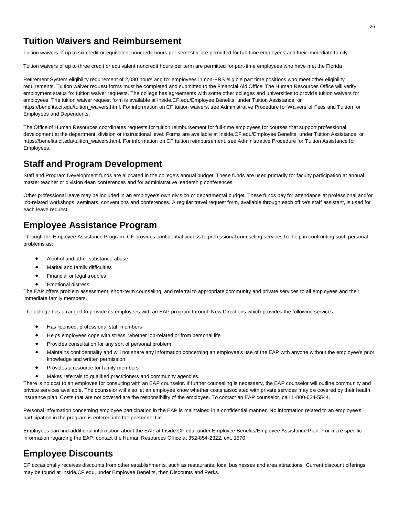#### **Tuition Waivers and Reimbursement**

Tuition waivers of up to six credit or equivalent noncredit hours per semester are permitted for full-time employees and their immediate family.

Tuition waivers of up to three credit or equivalent noncredit hours per term are permitted for part-time employees who have met the Florida

Retirement System eligibility requirement of 2,080 hours and for employees in non-FRS eligible part time positions who meet other eligibility requirements. Tuition waiver request forms must be completed and submitted to the Financial Aid Office. The Human Resources Office will verify employment status for tuition waiver requests. The college has agreements with some other colleges and universities to provide tuition waivers for employees. The tuition waiver request form is available at Inside.CF.edu/Employee Benefits, under Tuition Assistance, or https://benefits.cf.edu/tuition\_waivers.html. For information on CF tuition waivers, see Administrative Procedure for Waivers of Fees and Tuition for Employees and Dependents.

The Office of Human Resources coordinates requests for tuition reimbursement for full-time employees for courses that support professional development at the department, division or instructional level. Forms are available at Inside.CF.edu/Employee Benefits, under Tuition Assistance, or https://benefits.cf.edu/tuition\_waivers.html. For information on CF tuition reimbursement, see Administrative Procedure for Tuition Assistance for Employees.

#### **Staff and Program Development**

Staff and Program Development funds are allocated in the college's annual budget. These funds are used primarily for faculty participation at annual master teacher or division dean conferences and for administrative leadership conferences.

Other professional leave may be included in an employee's own division or departmental budget. These funds pay for attendance at professional and/or job-related workshops, seminars, conventions and conferences. A regular travel request form, available through each office's staff assistant, is used for each leave request.

#### **Employee Assistance Program**

Through the Employee Assistance Program, CF provides confidential access to professional counseling services for help in confronting such personal problems as:

- Alcohol and other substance abuse
- Marital and family difficulties
- Financial or legal troubles
- Emotional distress

The EAP offers problem assessment, short-term counseling, and referral to appropriate community and private services to all employees and their immediate family members.

The college has arranged to provide its employees with an EAP program through New Directions which provides the following services:

- Has licensed, professional staff members
- Helps employees cope with stress, whether job-related or from personal life
- Provides consultation for any sort of personal problem
- Maintains confidentiality and will not share any information concerning an employee's use of the EAP with anyone without the employee's prior knowledge and written permission
- Provides a resource for family members
- Makes referrals to qualified practitioners and community agencies.

There is no cost to an employee for consulting with an EAP counselor. If further counseling is necessary, the EAP counselor will outline community and private services available. The counselor will also let an employee know whether costs associated with private services may be covered by their health insurance plan. Costs that are not covered are the responsibility of the employee. To contact an EAP counselor, call 1-800-624-5544.

Personal information concerning employee participation in the EAP is maintained in a confidential manner. No information related to an employee's participation in the program is entered into the personnel file.

Employees can find additional information about the EAP at Inside.CF.edu, under Employee Benefits/Employee Assistance Plan. For more specific information regarding the EAP, contact the Human Resources Office at 352-854-2322, ext. 1570.

#### **Employee Discounts**

CF occasionally receives discounts from other establishments, such as restaurants, local businesses and area attractions. Current discount offerings may be found at Inside.CF.edu, under Employee Benefits, then Discounts and Perks.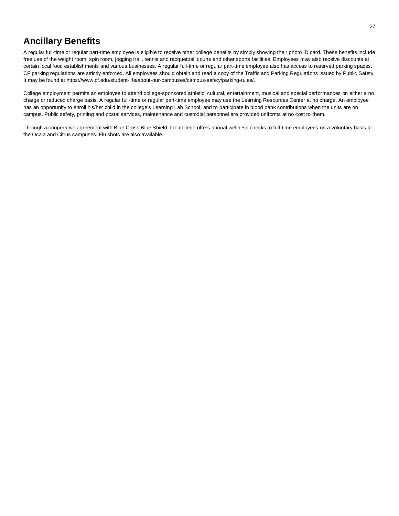#### **Ancillary Benefits**

A regular full-time or regular part-time employee is eligible to receive other college benefits by simply showing their photo ID card. These benefits include free use of the weight room, spin room, jogging trail, tennis and racquetball courts and other sports facilities. Employees may also receive discounts at certain local food establishments and various businesses. A regular full-time or regular part-time employee also has access to reserved parking spaces. CF parking regulations are strictly enforced. All employees should obtain and read a copy of the Traffic and Parking Regulations issued by Public Safety. It may be found at https://www.cf.edu/student-life/about-our-campuses/campus-safety/parking-rules/.

College employment permits an employee to attend college-sponsored athletic, cultural, entertainment, musical and special performances on either a no charge or reduced charge basis. A regular full-time or regular part-time employee may use the Learning Resources Center at no charge. An employee has an opportunity to enroll his/her child in the college's Learning Lab School, and to participate in blood bank contributions when the units are on campus. Public safety, printing and postal services, maintenance and custodial personnel are provided uniforms at no cost to them.

Through a cooperative agreement with Blue Cross Blue Shield, the college offers annual wellness checks to full-time employees on a voluntary basis at the Ocala and Citrus campuses. Flu shots are also available.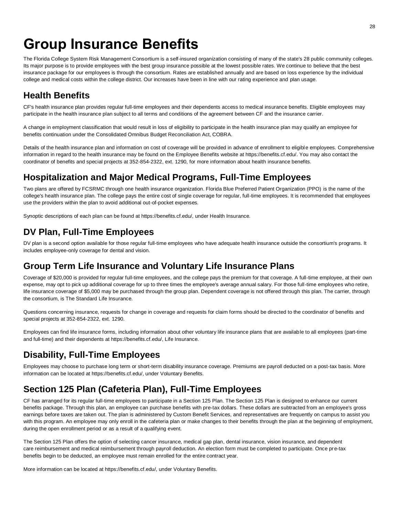## **Group Insurance Benefits**

The Florida College System Risk Management Consortium is a self-insured organization consisting of many of the state's 28 public community colleges. Its major purpose is to provide employees with the best group insurance possible at the lowest possible rates. We continue to believe that the best insurance package for our employees is through the consortium. Rates are established annually and are based on loss experience by the individual college and medical costs within the college district. Our increases have been in line with our rating experience and plan usage.

### **Health Benefits**

CF's health insurance plan provides regular full-time employees and their dependents access to medical insurance benefits. Eligible employees may participate in the health insurance plan subject to all terms and conditions of the agreement between CF and the insurance carrier.

A change in employment classification that would result in loss of eligibility to participate in the health insurance plan may qualify an employee for benefits continuation under the Consolidated Omnibus Budget Reconciliation Act, COBRA.

Details of the health insurance plan and information on cost of coverage will be provided in advance of enrollment to eligible employees. Comprehensive information in regard to the health insurance may be found on the Employee Benefits website at https://benefits.cf.edu/. You may also contact the coordinator of benefits and special projects at 352-854-2322, ext. 1290, for more information about health insurance benefits.

#### **Hospitalization and Major Medical Programs, Full-Time Employees**

Two plans are offered by FCSRMC through one health insurance organization. Florida Blue Preferred Patient Organization (PPO) is the name of the college's health insurance plan. The college pays the entire cost of single coverage for regular, full-time employees. It is recommended that employees use the providers within the plan to avoid additional out-of-pocket expenses.

Synoptic descriptions of each plan can be found at https://benefits.cf.edu/, under Health Insurance.

### **DV Plan, Full-Time Employees**

DV plan is a second option available for those regular full-time employees who have adequate health insurance outside the consortium's programs. It includes employee-only coverage for dental and vision.

#### **Group Term Life Insurance and Voluntary Life Insurance Plans**

Coverage of \$20,000 is provided for regular full-time employees, and the college pays the premium for that coverage. A full-time employee, at their own expense, may opt to pick up additional coverage for up to three times the employee's average annual salary. For those full-time employees who retire, life insurance coverage of \$5,000 may be purchased through the group plan. Dependent coverage is not offered through this plan. The carrier, through the consortium, is The Standard Life Insurance.

Questions concerning insurance, requests for change in coverage and requests for claim forms should be directed to the coordinator of benefits and special projects at 352-854-2322, ext. 1290.

Employees can find life insurance forms, including information about other voluntary life insurance plans that are available to all employees (part-time and full-time) and their dependents at https://benefits.cf.edu/, Life Insurance.

#### **Disability, Full-Time Employees**

Employees may choose to purchase long term or short-term disability insurance coverage. Premiums are payroll deducted on a post-tax basis. More information can be located at https://benefits.cf.edu/, under Voluntary Benefits.

### **Section 125 Plan (Cafeteria Plan), Full-Time Employees**

CF has arranged for its regular full-time employees to participate in a Section 125 Plan. The Section 125 Plan is designed to enhance our current benefits package. Through this plan, an employee can purchase benefits with pre-tax dollars. These dollars are subtracted from an employee's gross earnings before taxes are taken out. The plan is administered by Custom Benefit Services, and representatives are frequently on campus to assist you with this program. An employee may only enroll in the cafeteria plan or make changes to their benefits through the plan at the beginning of employment, during the open enrollment period or as a result of a qualifying event.

The Section 125 Plan offers the option of selecting cancer insurance, medical gap plan, dental insurance, vision insurance, and dependent care reimbursement and medical reimbursement through payroll deduction. An election form must be completed to participate. Once pre-tax benefits begin to be deducted, an employee must remain enrolled for the entire contract year.

More information can be located at https://benefits.cf.edu/, under Voluntary Benefits.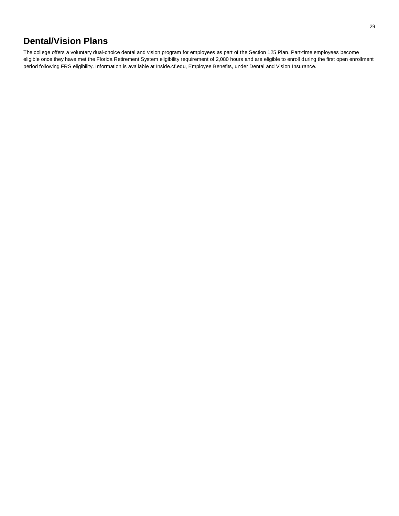#### **Dental/Vision Plans**

The college offers a voluntary dual-choice dental and vision program for employees as part of the Section 125 Plan. Part-time employees become eligible once they have met the Florida Retirement System eligibility requirement of 2,080 hours and are eligible to enroll during the first open enrollment period following FRS eligibility. Information is available at Inside.cf.edu, Employee Benefits, under Dental and Vision Insurance.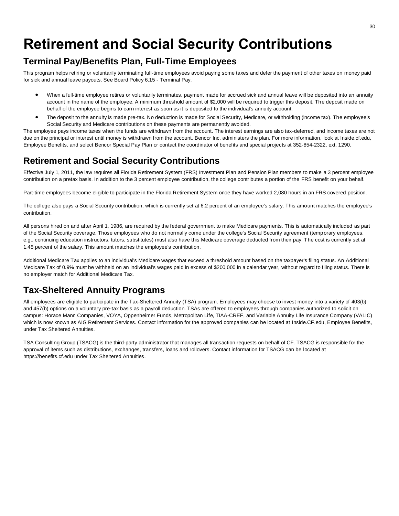## **Retirement and Social Security Contributions**

#### **Terminal Pay/Benefits Plan, Full-Time Employees**

This program helps retiring or voluntarily terminating full-time employees avoid paying some taxes and defer the payment of other taxes on money paid for sick and annual leave payouts. See Board Policy 6.15 - Terminal Pay.

- When a full-time employee retires or voluntarily terminates, payment made for accrued sick and annual leave will be deposited into an annuity account in the name of the employee. A minimum threshold amount of \$2,000 will be required to trigger this deposit. The deposit made on behalf of the employee begins to earn interest as soon as it is deposited to the individual's annuity account.
- The deposit to the annuity is made pre-tax. No deduction is made for Social Security, Medicare, or withholding (income tax). The employee's Social Security and Medicare contributions on these payments are permanently avoided.

The employee pays income taxes when the funds are withdrawn from the account. The interest earnings are also tax-deferred, and income taxes are not due on the principal or interest until money is withdrawn from the account. Bencor Inc. administers the plan. For more information, look at Inside.cf.edu, Employee Benefits, and select Bencor Special Pay Plan or contact the coordinator of benefits and special projects at 352-854-2322, ext. 1290.

### **Retirement and Social Security Contributions**

Effective July 1, 2011, the law requires all Florida Retirement System (FRS) Investment Plan and Pension Plan members to make a 3 percent employee contribution on a pretax basis. In addition to the 3 percent employee contribution, the college contributes a portion of the FRS benefit on your behalf.

Part-time employees become eligible to participate in the Florida Retirement System once they have worked 2,080 hours in an FRS covered position.

The college also pays a Social Security contribution, which is currently set at 6.2 percent of an employee's salary. This amount matches the employee's contribution.

All persons hired on and after April 1, 1986, are required by the federal government to make Medicare payments. This is automatically included as part of the Social Security coverage. Those employees who do not normally come under the college's Social Security agreement (temporary employees, e.g., continuing education instructors, tutors, substitutes) must also have this Medicare coverage deducted from their pay. The cost is currently set at 1.45 percent of the salary. This amount matches the employee's contribution.

Additional Medicare Tax applies to an individual's Medicare wages that exceed a threshold amount based on the taxpayer's filing status. An Additional Medicare Tax of 0.9% must be withheld on an individual's wages paid in excess of \$200,000 in a calendar year, without regard to filing status. There is no employer match for Additional Medicare Tax.

### **Tax-Sheltered Annuity Programs**

All employees are eligible to participate in the Tax-Sheltered Annuity (TSA) program. Employees may choose to invest money into a variety of 403(b) and 457(b) options on a voluntary pre-tax basis as a payroll deduction. TSAs are offered to employees through companies authorized to solicit on campus: Horace Mann Companies, VOYA, Oppenheimer Funds, Metropolitan Life, TIAA-CREF, and Variable Annuity Life Insurance Company (VALIC) which is now known as AIG Retirement Services. Contact information for the approved companies can be located at Inside.CF.edu, Employee Benefits, under Tax Sheltered Annuities.

TSA Consulting Group (TSACG) is the third-party administrator that manages all transaction requests on behalf of CF. TSACG is responsible for the approval of items such as distributions, exchanges, transfers, loans and rollovers. Contact information for TSACG can be located at https://benefits.cf.edu under Tax Sheltered Annuities.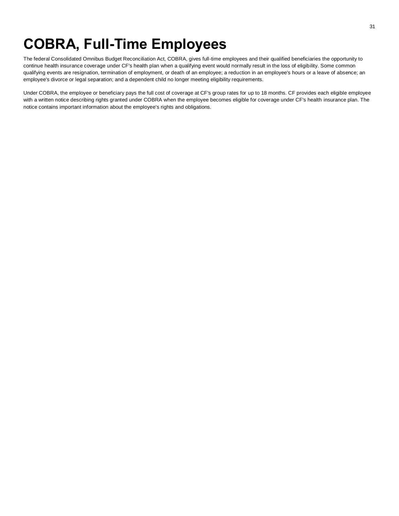The federal Consolidated Omnibus Budget Reconciliation Act, COBRA, gives full-time employees and their qualified beneficiaries the opportunity to continue health insurance coverage under CF's health plan when a qualifying event would normally result in the loss of eligibility. Some common qualifying events are resignation, termination of employment, or death of an employee; a reduction in an employee's hours or a leave of absence; an employee's divorce or legal separation; and a dependent child no longer meeting eligibility requirements.

Under COBRA, the employee or beneficiary pays the full cost of coverage at CF's group rates for up to 18 months. CF provides each eligible employee with a written notice describing rights granted under COBRA when the employee becomes eligible for coverage under CF's health insurance plan. The notice contains important information about the employee's rights and obligations.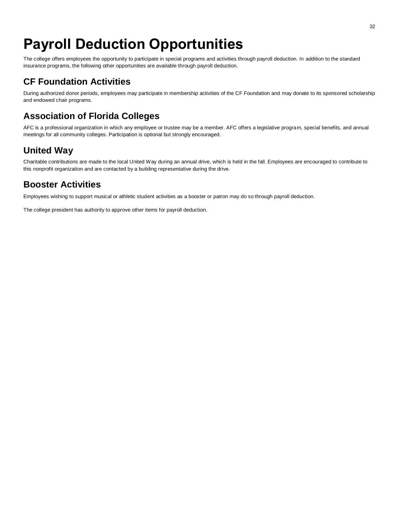## **Payroll Deduction Opportunities**

The college offers employees the opportunity to participate in special programs and activities through payroll deduction. In addition to the standard insurance programs, the following other opportunities are available through payroll deduction.

### **CF Foundation Activities**

During authorized donor periods, employees may participate in membership activities of the CF Foundation and may donate to its sponsored scholarship and endowed chair programs.

### **Association of Florida Colleges**

AFC is a professional organization in which any employee or trustee may be a member. AFC offers a legislative program, special benefits, and annual meetings for all community colleges. Participation is optional but strongly encouraged.

### **United Way**

Charitable contributions are made to the local United Way during an annual drive, which is held in the fall. Employees are encouraged to contribute to this nonprofit organization and are contacted by a building representative during the drive.

#### **Booster Activities**

Employees wishing to support musical or athletic student activities as a booster or patron may do so through payroll deduction.

The college president has authority to approve other items for payroll deduction.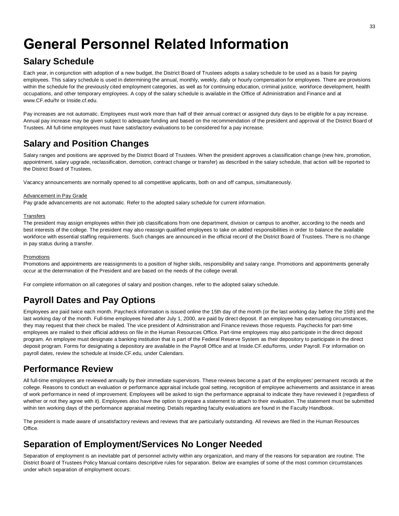## **General Personnel Related Information**

#### **Salary Schedule**

Each year, in conjunction with adoption of a new budget, the District Board of Trustees adopts a salary schedule to be used as a basis for paying employees. This salary schedule is used in determining the annual, monthly, weekly, daily or hourly compensation for employees. There are provisions within the schedule for the previously cited employment categories, as well as for continuing education, criminal justice, workforce development, health occupations, and other temporary employees. A copy of the salary schedule is available in the Office of Administration and Finance and at www.CF.edu/hr or Inside.cf.edu.

Pay increases are not automatic. Employees must work more than half of their annual contract or assigned duty days to be eligible for a pay increase. Annual pay increase may be given subject to adequate funding and based on the recommendation of the president and approval of the District Board of Trustees. All full-time employees must have satisfactory evaluations to be considered for a pay increase.

### **Salary and Position Changes**

Salary ranges and positions are approved by the District Board of Trustees. When the president approves a classification change (new hire, promotion, appointment, salary upgrade, reclassification, demotion, contract change or transfer) as described in the salary schedule, that action will be reported to the District Board of Trustees.

Vacancy announcements are normally opened to all competitive applicants, both on and off campus, simultaneously.

#### Advancement in Pay Grade

Pay grade advancements are not automatic. Refer to the adopted salary schedule for current information.

#### **Transfers**

The president may assign employees within their job classifications from one department, division or campus to another, according to the needs and best interests of the college. The president may also reassign qualified employees to take on added responsibilities in order to balance the available workforce with essential staffing requirements. Such changes are announced in the official record of the District Board of Trustees. There is no change in pay status during a transfer.

#### Promotions

Promotions and appointments are reassignments to a position of higher skills, responsibility and salary range. Promotions and appointments generally occur at the determination of the President and are based on the needs of the college overall.

For complete information on all categories of salary and position changes, refer to the adopted salary schedule.

### **Payroll Dates and Pay Options**

Employees are paid twice each month. Paycheck information is issued online the 15th day of the month (or the last working day before the 15th) and the last working day of the month. Full-time employees hired after July 1, 2000, are paid by direct deposit. If an employee has extenuating circumstances, they may request that their check be mailed. The vice president of Administration and Finance reviews those requests. Paychecks for part-time employees are mailed to their official address on file in the Human Resources Office. Part-time employees may also participate in the direct deposit program. An employee must designate a banking institution that is part of the Federal Reserve System as their depository to participate in the direct deposit program. Forms for designating a depository are available in the Payroll Office and at Inside.CF.edu/forms, under Payroll. For information on payroll dates, review the schedule at Inside.CF.edu, under Calendars.

#### **Performance Review**

All full-time employees are reviewed annually by their immediate supervisors. These reviews become a part of the employees' permanent records at the college. Reasons to conduct an evaluation or performance appraisal include goal setting, recognition of employee achievements and assistance in areas of work performance in need of improvement. Employees will be asked to sign the performance appraisal to indicate they have reviewed it (regardless of whether or not they agree with it). Employees also have the option to prepare a statement to attach to their evaluation. The statement must be submitted within ten working days of the performance appraisal meeting. Details regarding faculty evaluations are found in the Faculty Handbook.

The president is made aware of unsatisfactory reviews and reviews that are particularly outstanding. All reviews are filed in the Human Resources Office.

### **Separation of Employment/Services No Longer Needed**

Separation of employment is an inevitable part of personnel activity within any organization, and many of the reasons for separation are routine. The District Board of Trustees Policy Manual contains descriptive rules for separation. Below are examples of some of the most common circumstances under which separation of employment occurs: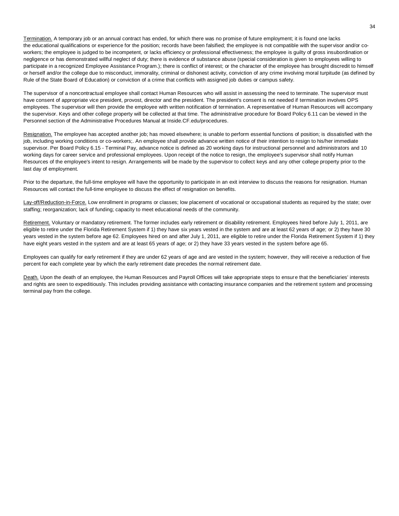Termination. A temporary job or an annual contract has ended, for which there was no promise of future employment; it is found one lacks the educational qualifications or experience for the position; records have been falsified; the employee is not compatible with the super visor and/or coworkers; the employee is judged to be incompetent, or lacks efficiency or professional effectiveness; the employee is guilty of gross insubordination or negligence or has demonstrated willful neglect of duty; there is evidence of substance abuse (special consideration is given to employees willing to participate in a recognized Employee Assistance Program.); there is conflict of interest; or the character of the employee has brought discredit to himself or herself and/or the college due to misconduct, immorality, criminal or dishonest activity, conviction of any crime involving moral turpitude (as defined by Rule of the State Board of Education) or conviction of a crime that conflicts with assigned job duties or campus safety.

The supervisor of a noncontractual employee shall contact Human Resources who will assist in assessing the need to terminate. The supervisor must have consent of appropriate vice president, provost, director and the president. The president's consent is not needed if termination involves OPS employees. The supervisor will then provide the employee with written notification of termination. A representative of Human Resources will accompany the supervisor. Keys and other college property will be collected at that time. The administrative procedure for Board Policy 6.11 can be viewed in the Personnel section of the Administrative Procedures Manual at Inside.CF.edu/procedures.

Resignation. The employee has accepted another job; has moved elsewhere; is unable to perform essential functions of position; is dissatisfied with the job, including working conditions or co-workers;. An employee shall provide advance written notice of their intention to resign to his/her immediate supervisor. Per Board Policy 6.15 - Terminal Pay, advance notice is defined as 20 working days for instructional personnel and administrators and 10 working days for career service and professional employees. Upon receipt of the notice to resign, the employee's supervisor shall notify Human Resources of the employee's intent to resign. Arrangements will be made by the supervisor to collect keys and any other college property prior to the last day of employment.

Prior to the departure, the full-time employee will have the opportunity to participate in an exit interview to discuss the reasons for resignation. Human Resources will contact the full-time employee to discuss the effect of resignation on benefits.

Lay-off/Reduction-in-Force. Low enrollment in programs or classes; low placement of vocational or occupational students as required by the state; over staffing; reorganization; lack of funding; capacity to meet educational needs of the community.

Retirement. Voluntary or mandatory retirement. The former includes early retirement or disability retirement. Employees hired before July 1, 2011, are eligible to retire under the Florida Retirement System if 1) they have six years vested in the system and are at least 62 years of age; or 2) they have 30 years vested in the system before age 62. Employees hired on and after July 1, 2011, are eligible to retire under the Florida Retirement System if 1) they have eight years vested in the system and are at least 65 years of age; or 2) they have 33 years vested in the system before age 65.

Employees can qualify for early retirement if they are under 62 years of age and are vested in the system; however, they will receive a reduction of five percent for each complete year by which the early retirement date precedes the normal retirement date.

Death. Upon the death of an employee, the Human Resources and Payroll Offices will take appropriate steps to ensure that the beneficiaries' interests and rights are seen to expeditiously. This includes providing assistance with contacting insurance companies and the retirement system and processing terminal pay from the college.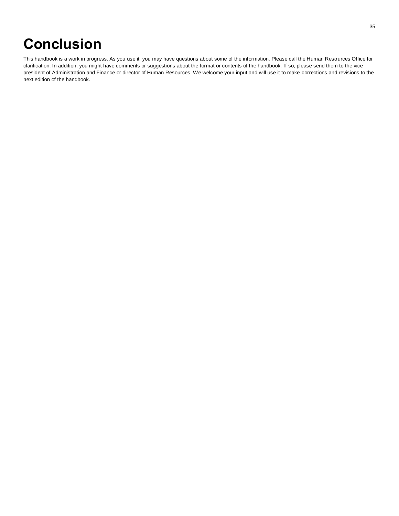## **Conclusion**

This handbook is a work in progress. As you use it, you may have questions about some of the information. Please call the Human Resources Office for clarification. In addition, you might have comments or suggestions about the format or contents of the handbook. If so, please send them to the vice president of Administration and Finance or director of Human Resources. We welcome your input and will use it to make corrections and revisions to the next edition of the handbook.